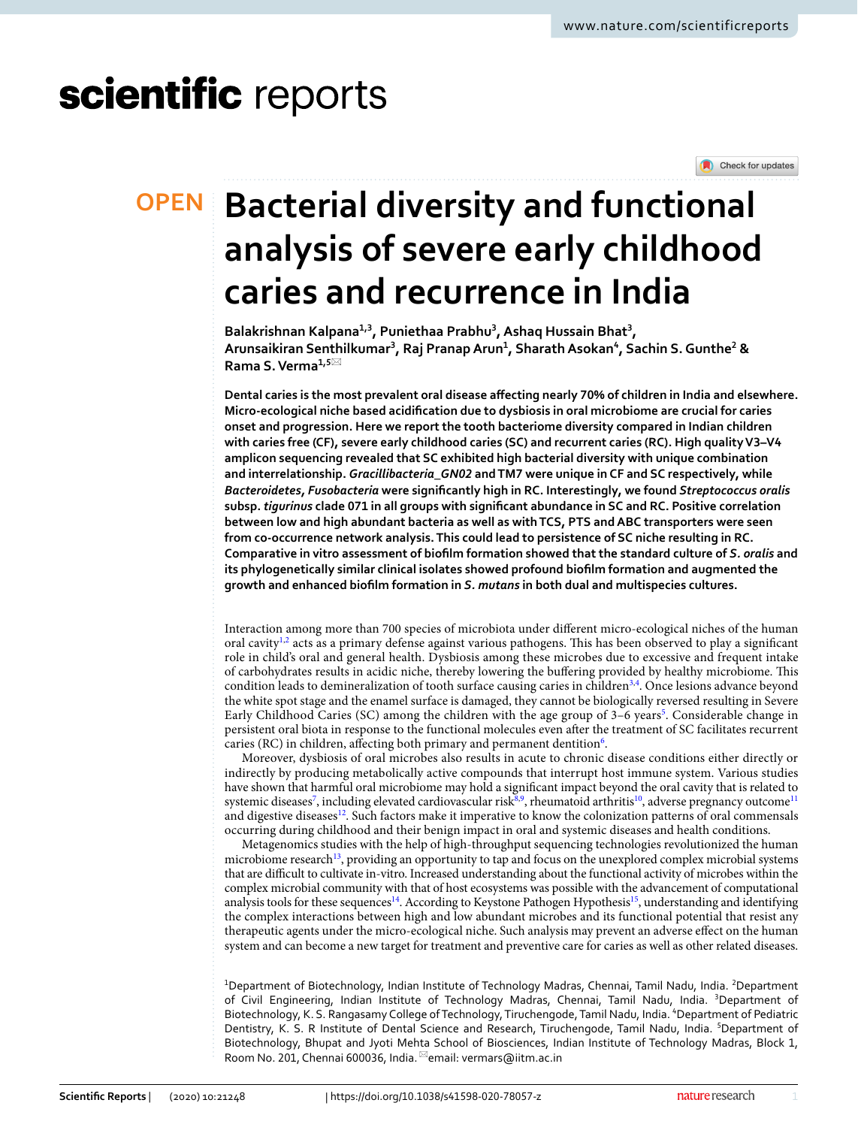# scientific reports

### **OPEN**

Check for updates

## **Bacterial diversity and functional analysis of severe early childhood caries and recurrence in India**

**Balakrishnan Kalpana1,3, Puniethaa Prabhu<sup>3</sup> , Ashaq Hussain Bhat<sup>3</sup> , Arunsaikiran Senthilkumar<sup>3</sup> , Raj Pranap Arun<sup>1</sup> , Sharath Asokan<sup>4</sup> , Sachin S. Gunthe<sup>2</sup> & Rama S. Verma1,5**\*

**Dental caries is the most prevalent oral disease affecting nearly 70% of children in India and elsewhere. Micro-ecological niche based acidification due to dysbiosis in oral microbiome are crucial for caries onset and progression. Here we report the tooth bacteriome diversity compared in Indian children with caries free (CF), severe early childhood caries (SC) and recurrent caries (RC). High quality V3–V4 amplicon sequencing revealed that SC exhibited high bacterial diversity with unique combination and interrelationship.** *Gracillibacteria\_GN02* **and TM7 were unique in CF and SC respectively, while**  *Bacteroidetes, Fusobacteria* **were significantly high in RC. Interestingly, we found** *Streptococcus oralis* **subsp.** *tigurinus* **clade 071 in all groups with significant abundance in SC and RC. Positive correlation between low and high abundant bacteria as well as with TCS, PTS and ABC transporters were seen from co-occurrence network analysis. This could lead to persistence of SC niche resulting in RC. Comparative in vitro assessment of biofilm formation showed that the standard culture of** *S. oralis* **and its phylogenetically similar clinical isolates showed profound biofilm formation and augmented the growth and enhanced biofilm formation in** *S. mutans* **in both dual and multispecies cultures.**

Interaction among more than 700 species of microbiota under different micro-ecological niches of the human oral cavity<sup>[1,](#page-12-0)[2](#page-12-1)</sup> acts as a primary defense against various pathogens. This has been observed to play a significant role in child's oral and general health. Dysbiosis among these microbes due to excessive and frequent intake of carbohydrates results in acidic niche, thereby lowering the buffering provided by healthy microbiome. This condition leads to demineralization of tooth surface causing caries in children<sup>[3,](#page-12-2)[4](#page-12-3)</sup>. Once lesions advance beyond the white spot stage and the enamel surface is damaged, they cannot be biologically reversed resulting in Severe Early Childhood Caries (SC) among the children with the age group of 3-6 years<sup>[5](#page-12-4)</sup>. Considerable change in persistent oral biota in response to the functional molecules even after the treatment of SC facilitates recurrent caries (RC) in children, affecting both primary and permanent dentition<sup>[6](#page-12-5)</sup>.

Moreover, dysbiosis of oral microbes also results in acute to chronic disease conditions either directly or indirectly by producing metabolically active compounds that interrupt host immune system. Various studies have shown that harmful oral microbiome may hold a significant impact beyond the oral cavity that is related to systemic diseases<sup>[7](#page-12-6)</sup>, including elevated cardiovascular risk<sup>[8,](#page-12-7)[9](#page-12-8)</sup>, rheumatoid arthritis<sup>[10](#page-12-9)</sup>, adverse pregnancy outcome<sup>[11](#page-12-10)</sup> and digestive diseases<sup>[12](#page-12-11)</sup>. Such factors make it imperative to know the colonization patterns of oral commensals occurring during childhood and their benign impact in oral and systemic diseases and health conditions.

Metagenomics studies with the help of high-throughput sequencing technologies revolutionized the human microbiome research<sup>[13](#page-12-12)</sup>, providing an opportunity to tap and focus on the unexplored complex microbial systems that are difficult to cultivate in-vitro. Increased understanding about the functional activity of microbes within the complex microbial community with that of host ecosystems was possible with the advancement of computational analysis tools for these sequences<sup>[14](#page-12-13)</sup>. According to Keystone Pathogen Hypothesis<sup>[15](#page-12-14)</sup>, understanding and identifying the complex interactions between high and low abundant microbes and its functional potential that resist any therapeutic agents under the micro-ecological niche. Such analysis may prevent an adverse effect on the human system and can become a new target for treatment and preventive care for caries as well as other related diseases.

<sup>1</sup>Department of Biotechnology, Indian Institute of Technology Madras, Chennai, Tamil Nadu, India. <sup>2</sup>Department of Civil Engineering, Indian Institute of Technology Madras, Chennai, Tamil Nadu, India. <sup>3</sup>Department of Biotechnology, K. S. Rangasamy College of Technology, Tiruchengode, Tamil Nadu, India. <sup>4</sup>Department of Pediatric Dentistry, K. S. R Institute of Dental Science and Research, Tiruchengode, Tamil Nadu, India. <sup>5</sup>Department of Biotechnology, Bhupat and Jyoti Mehta School of Biosciences, Indian Institute of Technology Madras, Block 1, Room No. 201, Chennai 600036, India.<sup>⊠</sup>email: vermars@iitm.ac.in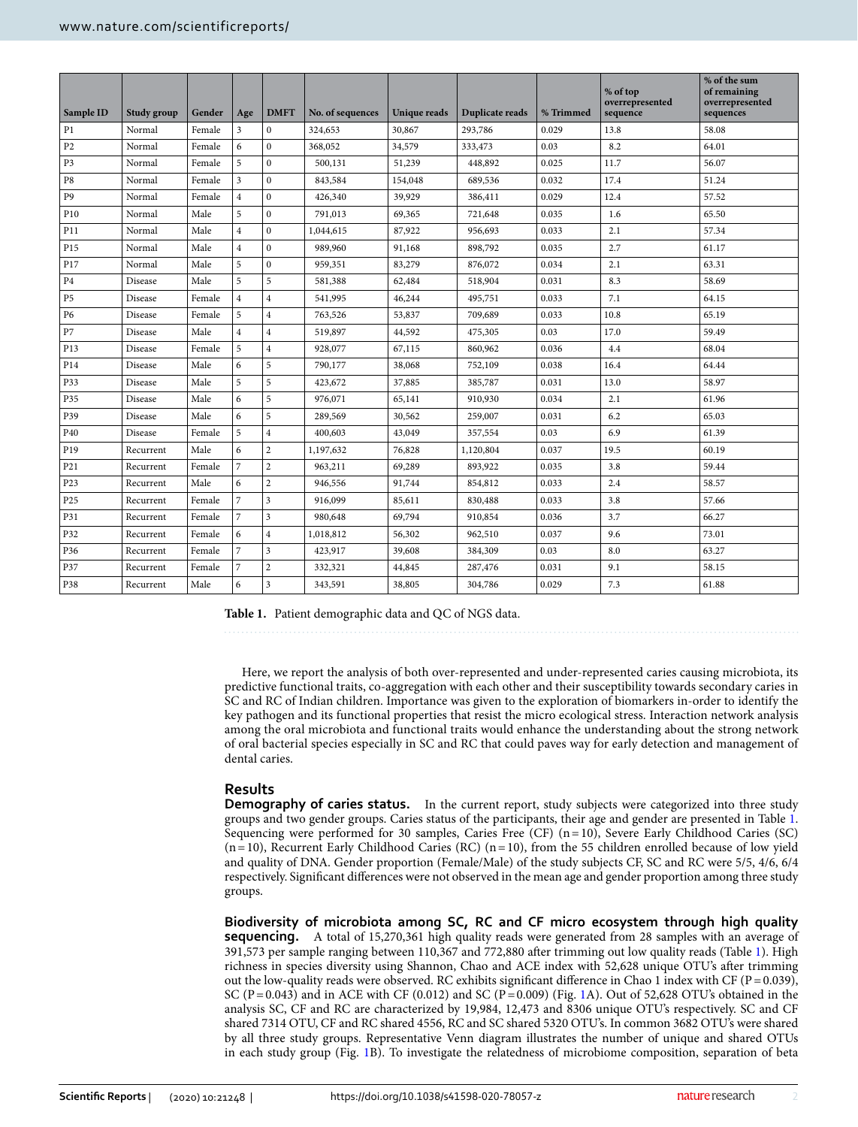| Sample ID       | <b>Study group</b> | Gender | Age            | <b>DMFT</b>             | No. of sequences | <b>Unique reads</b> | Duplicate reads | % Trimmed | % of top<br>overrepresented<br>sequence | % of the sum<br>of remaining<br>overrepresented<br>sequences |
|-----------------|--------------------|--------|----------------|-------------------------|------------------|---------------------|-----------------|-----------|-----------------------------------------|--------------------------------------------------------------|
| P <sub>1</sub>  | Normal             | Female | 3              | $\mathbf{0}$            | 324,653          | 30,867              | 293,786         | 0.029     | 13.8                                    | 58.08                                                        |
| P <sub>2</sub>  | Normal             | Female | 6              | $\mathbf{0}$            | 368,052          | 34,579              | 333,473         | 0.03      | 8.2                                     | 64.01                                                        |
| P <sub>3</sub>  | Normal             | Female | 5              | $\mathbf{0}$            | 500,131          | 51,239              | 448,892         | 0.025     | 11.7                                    | 56.07                                                        |
| P8              | Normal             | Female | 3              | $\mathbf{0}$            | 843,584          | 154,048             | 689,536         | 0.032     | 17.4                                    | 51.24                                                        |
| P <sub>9</sub>  | Normal             | Female | $\overline{4}$ | $\mathbf{0}$            | 426,340          | 39,929              | 386,411         | 0.029     | 12.4                                    | 57.52                                                        |
| P10             | Normal             | Male   | 5              | $\overline{0}$          | 791,013          | 69,365              | 721,648         | 0.035     | 1.6                                     | 65.50                                                        |
| P11             | Normal             | Male   | $\overline{4}$ | $\mathbf{0}$            | 1,044,615        | 87,922              | 956,693         | 0.033     | 2.1                                     | 57.34                                                        |
| P <sub>15</sub> | Normal             | Male   | $\overline{4}$ | $\mathbf{0}$            | 989,960          | 91,168              | 898,792         | 0.035     | 2.7                                     | 61.17                                                        |
| P17             | Normal             | Male   | 5              | $\mathbf{0}$            | 959,351          | 83,279              | 876,072         | 0.034     | 2.1                                     | 63.31                                                        |
| P <sub>4</sub>  | Disease            | Male   | 5              | 5                       | 581,388          | 62,484              | 518,904         | 0.031     | 8.3                                     | 58.69                                                        |
| P <sub>5</sub>  | Disease            | Female | $\overline{4}$ | $\overline{4}$          | 541,995          | 46,244              | 495,751         | 0.033     | 7.1                                     | 64.15                                                        |
| P6              | Disease            | Female | 5              | $\overline{4}$          | 763,526          | 53,837              | 709,689         | 0.033     | 10.8                                    | 65.19                                                        |
| P7              | Disease            | Male   | $\overline{4}$ | $\overline{4}$          | 519,897          | 44,592              | 475,305         | 0.03      | 17.0                                    | 59.49                                                        |
| P <sub>13</sub> | Disease            | Female | 5              | $\overline{4}$          | 928,077          | 67,115              | 860,962         | 0.036     | 4.4                                     | 68.04                                                        |
| P <sub>14</sub> | Disease            | Male   | 6              | 5                       | 790,177          | 38,068              | 752,109         | 0.038     | 16.4                                    | 64.44                                                        |
| P33             | Disease            | Male   | 5              | 5                       | 423,672          | 37,885              | 385,787         | 0.031     | 13.0                                    | 58.97                                                        |
| P35             | Disease            | Male   | 6              | 5                       | 976,071          | 65,141              | 910,930         | 0.034     | 2.1                                     | 61.96                                                        |
| P39             | Disease            | Male   | 6              | 5                       | 289,569          | 30,562              | 259,007         | 0.031     | 6.2                                     | 65.03                                                        |
| P <sub>40</sub> | Disease            | Female | 5              | $\overline{4}$          | 400,603          | 43,049              | 357,554         | 0.03      | 6.9                                     | 61.39                                                        |
| P <sub>19</sub> | Recurrent          | Male   | 6              | $\overline{c}$          | 1,197,632        | 76,828              | 1,120,804       | 0.037     | 19.5                                    | 60.19                                                        |
| P <sub>21</sub> | Recurrent          | Female | $\overline{7}$ | $\overline{c}$          | 963,211          | 69,289              | 893,922         | 0.035     | 3.8                                     | 59.44                                                        |
| P23             | Recurrent          | Male   | 6              | $\overline{c}$          | 946,556          | 91,744              | 854,812         | 0.033     | 2.4                                     | 58.57                                                        |
| P <sub>25</sub> | Recurrent          | Female | $\overline{7}$ | 3                       | 916,099          | 85,611              | 830,488         | 0.033     | 3.8                                     | 57.66                                                        |
| P31             | Recurrent          | Female | 7              | 3                       | 980,648          | 69,794              | 910,854         | 0.036     | 3.7                                     | 66.27                                                        |
| P32             | Recurrent          | Female | 6              | $\overline{4}$          | 1,018,812        | 56,302              | 962,510         | 0.037     | 9.6                                     | 73.01                                                        |
| P36             | Recurrent          | Female | 7              | 3                       | 423,917          | 39,608              | 384,309         | 0.03      | 8.0                                     | 63.27                                                        |
| P37             | Recurrent          | Female | $\overline{7}$ | $\overline{2}$          | 332,321          | 44,845              | 287,476         | 0.031     | 9.1                                     | 58.15                                                        |
| P38             | Recurrent          | Male   | 6              | $\overline{\mathbf{3}}$ | 343,591          | 38,805              | 304,786         | 0.029     | 7.3                                     | 61.88                                                        |

<span id="page-1-0"></span>**Table 1.** Patient demographic data and QC of NGS data.

Here, we report the analysis of both over-represented and under-represented caries causing microbiota, its predictive functional traits, co-aggregation with each other and their susceptibility towards secondary caries in SC and RC of Indian children. Importance was given to the exploration of biomarkers in-order to identify the key pathogen and its functional properties that resist the micro ecological stress. Interaction network analysis among the oral microbiota and functional traits would enhance the understanding about the strong network of oral bacterial species especially in SC and RC that could paves way for early detection and management of dental caries.

#### **Results**

**Demography of caries status.** In the current report, study subjects were categorized into three study groups and two gender groups. Caries status of the participants, their age and gender are presented in Table [1](#page-1-0). Sequencing were performed for 30 samples, Caries Free (CF)  $(n=10)$ , Severe Early Childhood Caries (SC)  $(n=10)$ , Recurrent Early Childhood Caries (RC)  $(n=10)$ , from the 55 children enrolled because of low yield and quality of DNA. Gender proportion (Female/Male) of the study subjects CF, SC and RC were 5/5, 4/6, 6/4 respectively. Significant differences were not observed in the mean age and gender proportion among three study groups.

**Biodiversity of microbiota among SC, RC and CF micro ecosystem through high quality sequencing.** A total of 15,270,361 high quality reads were generated from 28 samples with an average of 391,573 per sample ranging between 110,367 and 772,880 after trimming out low quality reads (Table [1\)](#page-1-0). High richness in species diversity using Shannon, Chao and ACE index with 52,628 unique OTU's after trimming out the low-quality reads were observed. RC exhibits significant difference in Chao 1 index with CF ( $P = 0.039$ ), SC (P = 0.043) and in ACE with CF (0.012) and SC (P = 0.009) (Fig. [1A](#page-2-0)). Out of 52,628 OTU's obtained in the analysis SC, CF and RC are characterized by 19,984, 12,473 and 8306 unique OTU's respectively. SC and CF shared 7314 OTU, CF and RC shared 4556, RC and SC shared 5320 OTU's. In common 3682 OTU's were shared by all three study groups. Representative Venn diagram illustrates the number of unique and shared OTUs in each study group (Fig. [1B](#page-2-0)). To investigate the relatedness of microbiome composition, separation of beta

2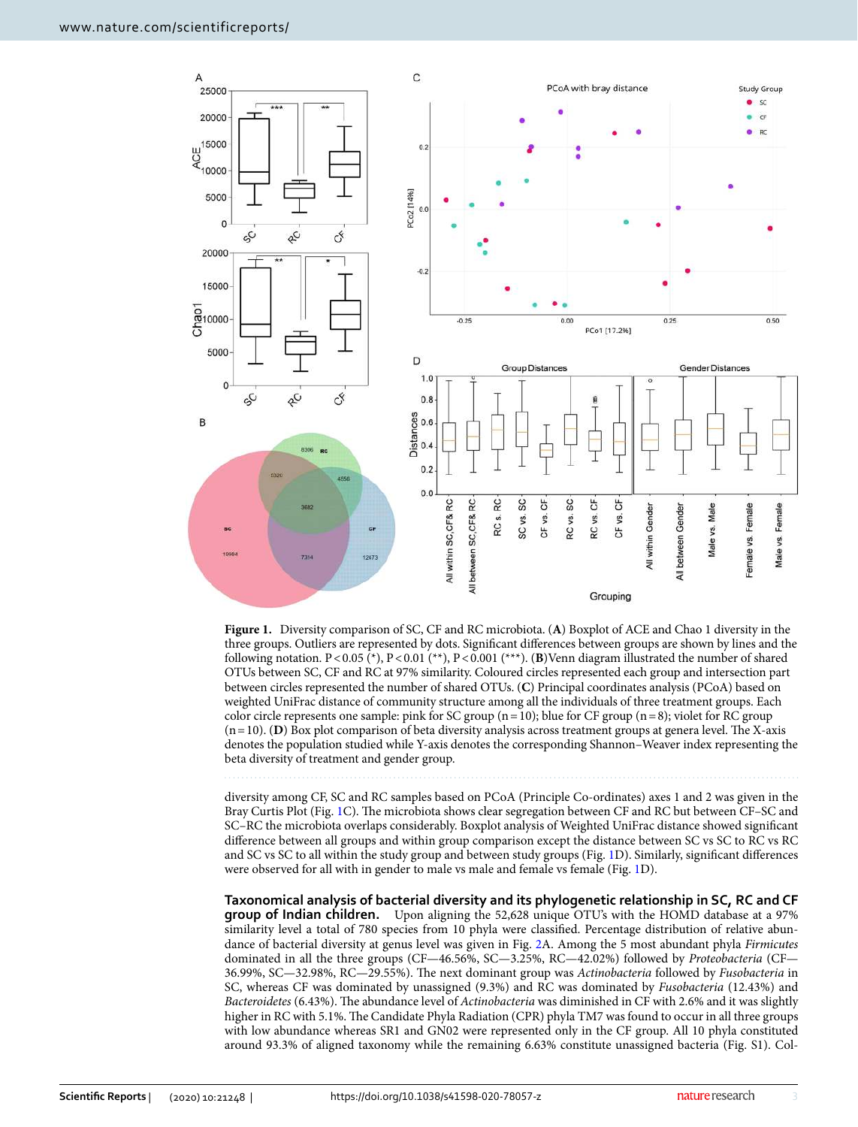

<span id="page-2-0"></span>**Figure 1.** Diversity comparison of SC, CF and RC microbiota. (**A**) Boxplot of ACE and Chao 1 diversity in the three groups. Outliers are represented by dots. Significant differences between groups are shown by lines and the following notation. P < 0.05 (\*), P < 0.01 (\*\*), P < 0.001 (\*\*\*). (**B**)Venn diagram illustrated the number of shared OTUs between SC, CF and RC at 97% similarity. Coloured circles represented each group and intersection part between circles represented the number of shared OTUs. (**C**) Principal coordinates analysis (PCoA) based on weighted UniFrac distance of community structure among all the individuals of three treatment groups. Each color circle represents one sample: pink for SC group  $(n = 10)$ ; blue for CF group  $(n = 8)$ ; violet for RC group  $(n = 10)$ . (**D**) Box plot comparison of beta diversity analysis across treatment groups at genera level. The X-axis denotes the population studied while Y-axis denotes the corresponding Shannon–Weaver index representing the beta diversity of treatment and gender group.

diversity among CF, SC and RC samples based on PCoA (Principle Co-ordinates) axes 1 and 2 was given in the Bray Curtis Plot (Fig. [1](#page-2-0)C). The microbiota shows clear segregation between CF and RC but between CF–SC and SC–RC the microbiota overlaps considerably. Boxplot analysis of Weighted UniFrac distance showed significant difference between all groups and within group comparison except the distance between SC vs SC to RC vs RC and SC vs SC to all within the study group and between study groups (Fig. [1D](#page-2-0)). Similarly, significant differences were observed for all with in gender to male vs male and female vs female (Fig. [1D](#page-2-0)).

**Taxonomical analysis of bacterial diversity and its phylogenetic relationship in SC, RC and CF group of Indian children.** Upon aligning the 52,628 unique OTU's with the HOMD database at a 97% similarity level a total of 780 species from 10 phyla were classified. Percentage distribution of relative abun-dance of bacterial diversity at genus level was given in Fig. [2](#page-3-0)A. Among the 5 most abundant phyla Firmicutes dominated in all the three groups (CF—46.56%, SC—3.25%, RC—42.02%) followed by Proteobacteria (CF— 36.99%, SC—32.98%, RC—29.55%). The next dominant group was Actinobacteria followed by Fusobacteria in SC, whereas CF was dominated by unassigned (9.3%) and RC was dominated by Fusobacteria (12.43%) and Bacteroidetes (6.43%). The abundance level of Actinobacteria was diminished in CF with 2.6% and it was slightly higher in RC with 5.1%. The Candidate Phyla Radiation (CPR) phyla TM7 was found to occur in all three groups with low abundance whereas SR1 and GN02 were represented only in the CF group. All 10 phyla constituted around 93.3% of aligned taxonomy while the remaining 6.63% constitute unassigned bacteria (Fig. S1). Col-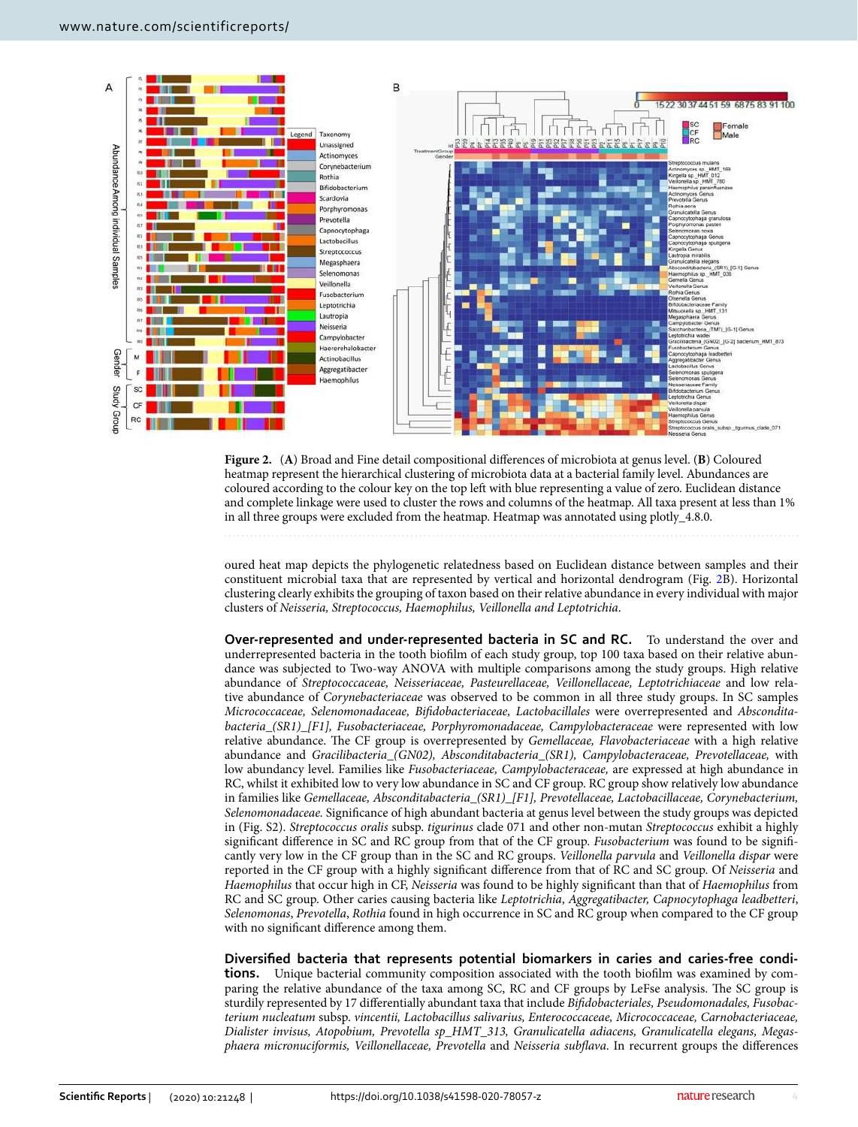

<span id="page-3-0"></span>**Figure 2.** (**A**) Broad and Fine detail compositional differences of microbiota at genus level. (**B**) Coloured heatmap represent the hierarchical clustering of microbiota data at a bacterial family level. Abundances are coloured according to the colour key on the top left with blue representing a value of zero. Euclidean distance and complete linkage were used to cluster the rows and columns of the heatmap. All taxa present at less than 1% in all three groups were excluded from the heatmap. Heatmap was annotated using plotly\_4.8.0.

oured heat map depicts the phylogenetic relatedness based on Euclidean distance between samples and their constituent microbial taxa that are represented by vertical and horizontal dendrogram (Fig. [2B](#page-3-0)). Horizontal clustering clearly exhibits the grouping of taxon based on their relative abundance in every individual with major clusters of Neisseria, Streptococcus, Haemophilus, Veillonella and Leptotrichia.

**Over-represented and under-represented bacteria in SC and RC.** To understand the over and underrepresented bacteria in the tooth biofilm of each study group, top 100 taxa based on their relative abundance was subjected to Two-way ANOVA with multiple comparisons among the study groups. High relative abundance of Streptococcaceae, Neisseriaceae, Pasteurellaceae, Veillonellaceae, Leptotrichiaceae and low relative abundance of Corynebacteriaceae was observed to be common in all three study groups. In SC samples Micrococcaceae, Selenomonadaceae, Bifidobacteriaceae, Lactobacillales were overrepresented and Absconditabacteria\_(SR1)\_[F1], Fusobacteriaceae, Porphyromonadaceae, Campylobacteraceae were represented with low relative abundance. The CF group is overrepresented by Gemellaceae, Flavobacteriaceae with a high relative abundance and Gracilibacteria\_(GN02), Absconditabacteria\_(SR1), Campylobacteraceae, Prevotellaceae, with low abundancy level. Families like Fusobacteriaceae, Campylobacteraceae, are expressed at high abundance in RC, whilst it exhibited low to very low abundance in SC and CF group. RC group show relatively low abundance in families like Gemellaceae, Absconditabacteria\_(SR1)\_[F1], Prevotellaceae, Lactobacillaceae, Corynebacterium, Selenomonadaceae. Significance of high abundant bacteria at genus level between the study groups was depicted in (Fig. S2). Streptococcus oralis subsp. tigurinus clade 071 and other non-mutan Streptococcus exhibit a highly significant difference in SC and RC group from that of the CF group. Fusobacterium was found to be significantly very low in the CF group than in the SC and RC groups. Veillonella parvula and Veillonella dispar were reported in the CF group with a highly significant difference from that of RC and SC group. Of Neisseria and Haemophilus that occur high in CF, Neisseria was found to be highly significant than that of Haemophilus from RC and SC group. Other caries causing bacteria like Leptotrichia, Aggregatibacter, Capnocytophaga leadbetteri, Selenomonas, Prevotella, Rothia found in high occurrence in SC and RC group when compared to the CF group with no significant difference among them.

**Diversified bacteria that represents potential biomarkers in caries and caries-free conditions.** Unique bacterial community composition associated with the tooth biofilm was examined by comparing the relative abundance of the taxa among SC, RC and CF groups by LeFse analysis. The SC group is sturdily represented by 17 differentially abundant taxa that include Bifidobacteriales, Pseudomonadales, Fusobacterium nucleatum subsp. vincentii, Lactobacillus salivarius, Enterococcaceae, Micrococcaceae, Carnobacteriaceae, Dialister invisus, Atopobium, Prevotella sp\_HMT\_313, Granulicatella adiacens, Granulicatella elegans, Megasphaera micronuciformis, Veillonellaceae, Prevotella and Neisseria subflava. In recurrent groups the differences

4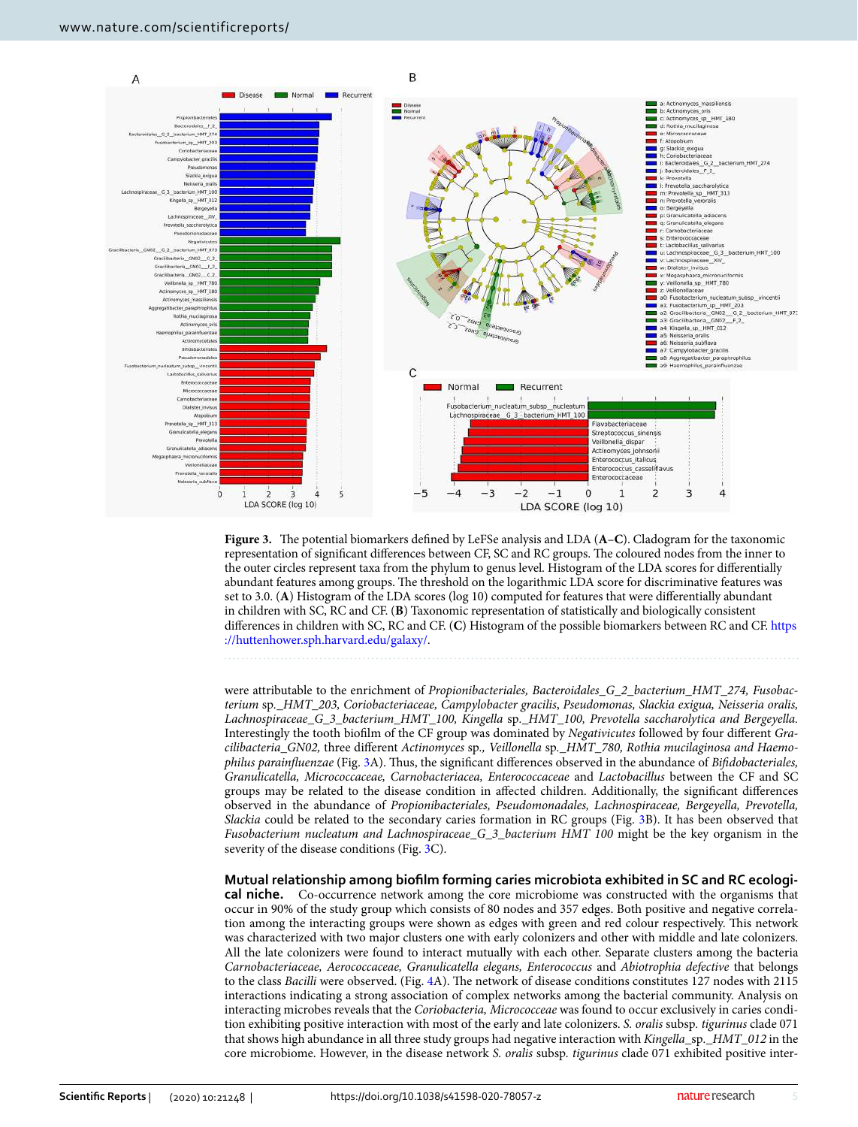

<span id="page-4-0"></span>**Figure 3.** The potential biomarkers defined by LeFSe analysis and LDA (**A**–**C**). Cladogram for the taxonomic representation of significant differences between CF, SC and RC groups. The coloured nodes from the inner to the outer circles represent taxa from the phylum to genus level. Histogram of the LDA scores for differentially abundant features among groups. The threshold on the logarithmic LDA score for discriminative features was set to 3.0. (**A**) Histogram of the LDA scores (log 10) computed for features that were differentially abundant in children with SC, RC and CF. (**B**) Taxonomic representation of statistically and biologically consistent differences in children with SC, RC and CF. (**C**) Histogram of the possible biomarkers between RC and CF. [https](https://huttenhower.sph.harvard.edu/galaxy/)  ://huttenhower.sph.harvard.edu/galaxy/.

were attributable to the enrichment of *Propionibacteriales, Bacteroidales\_G\_2\_bacterium\_HMT\_274, Fusobac*terium sp.\_HMT\_203, Coriobacteriaceae, Campylobacter gracilis, Pseudomonas, Slackia exigua, Neisseria oralis, Lachnospiraceae\_G\_3\_bacterium\_HMT\_100, Kingella sp.\_HMT\_100, Prevotella saccharolytica and Bergeyella. Interestingly the tooth biofilm of the CF group was dominated by Negativicutes followed by four different Gracilibacteria\_GN02, three different Actinomyces sp., Veillonella sp.\_HMT\_780, Rothia mucilaginosa and Haemophilus parainfluenzae (Fig. [3A](#page-4-0)). Thus, the significant differences observed in the abundance of Bifidobacteriales, Granulicatella, Micrococcaceae, Carnobacteriacea, Enterococcaceae and Lactobacillus between the CF and SC groups may be related to the disease condition in affected children. Additionally, the significant differences observed in the abundance of Propionibacteriales, Pseudomonadales, Lachnospiraceae, Bergeyella, Prevotella, Slackia could be related to the secondary caries formation in RC groups (Fig. [3B](#page-4-0)). It has been observed that Fusobacterium nucleatum and Lachnospiraceae\_G\_3\_bacterium HMT 100 might be the key organism in the severity of the disease conditions (Fig. [3C](#page-4-0)).

#### **Mutual relationship among biofilm forming caries microbiota exhibited in SC and RC ecologi-**

**cal niche.** Co-occurrence network among the core microbiome was constructed with the organisms that occur in 90% of the study group which consists of 80 nodes and 357 edges. Both positive and negative correlation among the interacting groups were shown as edges with green and red colour respectively. This network was characterized with two major clusters one with early colonizers and other with middle and late colonizers. All the late colonizers were found to interact mutually with each other. Separate clusters among the bacteria Carnobacteriaceae, Aerococcaceae, Granulicatella elegans, Enterococcus and Abiotrophia defective that belongs to the class Bacilli were observed. (Fig. [4A](#page-5-0)). The network of disease conditions constitutes 127 nodes with 2115 interactions indicating a strong association of complex networks among the bacterial community. Analysis on interacting microbes reveals that the Coriobacteria, Micrococceae was found to occur exclusively in caries condition exhibiting positive interaction with most of the early and late colonizers. S. oralis subsp. tigurinus clade 071 that shows high abundance in all three study groups had negative interaction with Kingella\_sp.\_HMT\_012 in the core microbiome. However, in the disease network S. oralis subsp. tigurinus clade 071 exhibited positive inter-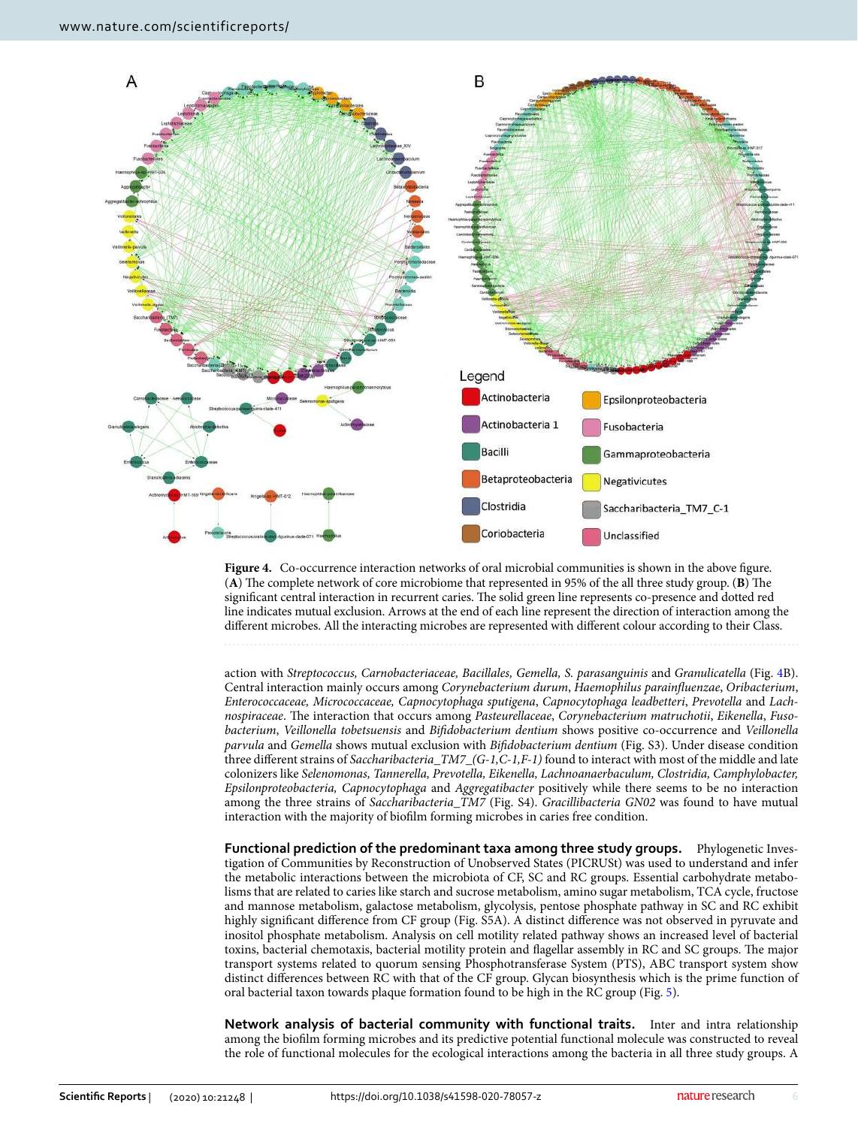

<span id="page-5-0"></span>Figure 4. Co-occurrence interaction networks of oral microbial communities is shown in the above figure. (**A**) The complete network of core microbiome that represented in 95% of the all three study group. (**B**) The significant central interaction in recurrent caries. The solid green line represents co-presence and dotted red line indicates mutual exclusion. Arrows at the end of each line represent the direction of interaction among the different microbes. All the interacting microbes are represented with different colour according to their Class.

action with Streptococcus, Carnobacteriaceae, Bacillales, Gemella, S. parasanguinis and Granulicatella (Fig. [4B](#page-5-0)). Central interaction mainly occurs among Corynebacterium durum, Haemophilus parainfluenzae, Oribacterium, Enterococcaceae, Micrococcaceae, Capnocytophaga sputigena, Capnocytophaga leadbetteri, Prevotella and Lachnospiraceae. The interaction that occurs among Pasteurellaceae, Corynebacterium matruchotii, Eikenella, Fusobacterium, Veillonella tobetsuensis and Bifidobacterium dentium shows positive co-occurrence and Veillonella parvula and Gemella shows mutual exclusion with Bifidobacterium dentium (Fig. S3). Under disease condition three different strains of Saccharibacteria\_TM7\_(G-1,C-1,F-1) found to interact with most of the middle and late colonizers like Selenomonas, Tannerella, Prevotella, Eikenella, Lachnoanaerbaculum, Clostridia, Camphylobacter, Epsilonproteobacteria, Capnocytophaga and Aggregatibacter positively while there seems to be no interaction among the three strains of Saccharibacteria\_TM7 (Fig. S4). Gracillibacteria GN02 was found to have mutual interaction with the majority of biofilm forming microbes in caries free condition.

**Functional prediction of the predominant taxa among three study groups.** Phylogenetic Investigation of Communities by Reconstruction of Unobserved States (PICRUSt) was used to understand and infer the metabolic interactions between the microbiota of CF, SC and RC groups. Essential carbohydrate metabolisms that are related to caries like starch and sucrose metabolism, amino sugar metabolism, TCA cycle, fructose and mannose metabolism, galactose metabolism, glycolysis, pentose phosphate pathway in SC and RC exhibit highly significant difference from CF group (Fig. S5A). A distinct difference was not observed in pyruvate and inositol phosphate metabolism. Analysis on cell motility related pathway shows an increased level of bacterial toxins, bacterial chemotaxis, bacterial motility protein and flagellar assembly in RC and SC groups. The major transport systems related to quorum sensing Phosphotransferase System (PTS), ABC transport system show distinct differences between RC with that of the CF group. Glycan biosynthesis which is the prime function of oral bacterial taxon towards plaque formation found to be high in the RC group (Fig. [5\)](#page-6-0).

**Network analysis of bacterial community with functional traits.** Inter and intra relationship among the biofilm forming microbes and its predictive potential functional molecule was constructed to reveal the role of functional molecules for the ecological interactions among the bacteria in all three study groups. A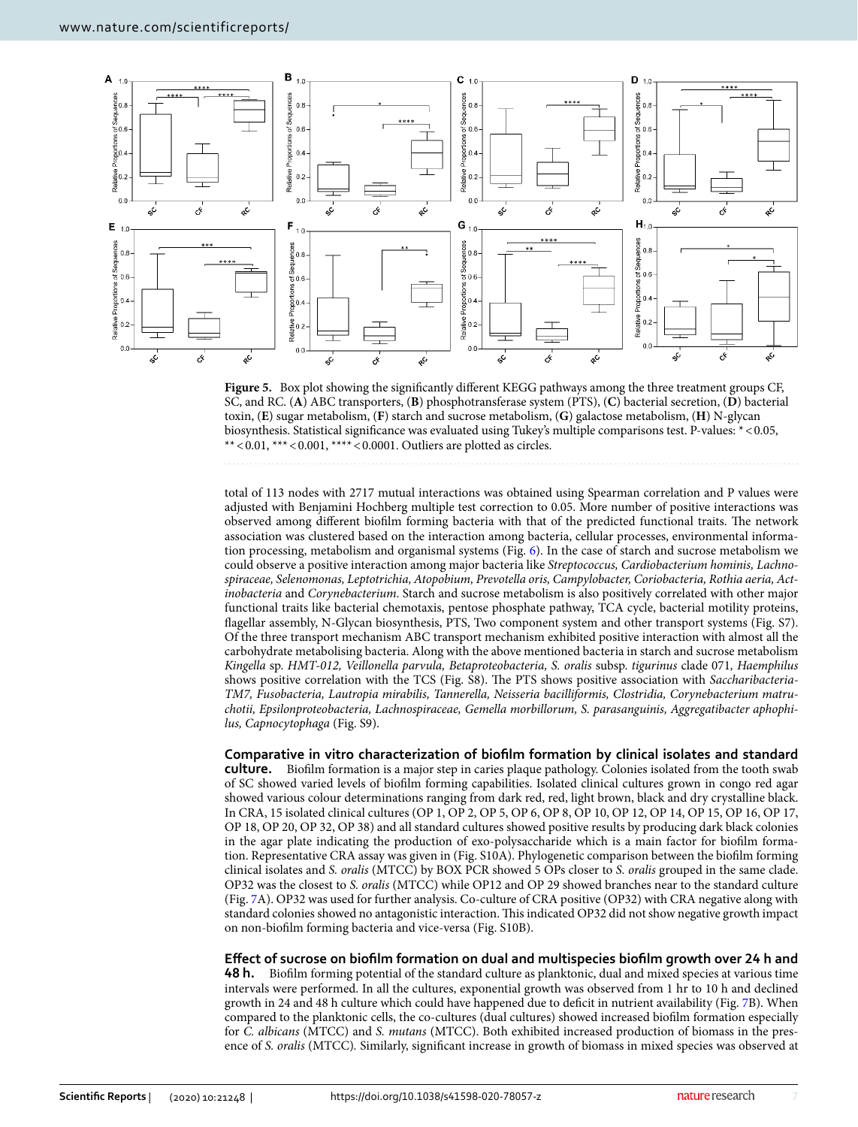

<span id="page-6-0"></span>**Figure 5.** Box plot showing the significantly different KEGG pathways among the three treatment groups CF, SC, and RC. (**A**) ABC transporters, (**B**) phosphotransferase system (PTS), (**C**) bacterial secretion, (**D**) bacterial toxin, (**E**) sugar metabolism, (**F**) starch and sucrose metabolism, (**G**) galactose metabolism, (**H**) N-glycan biosynthesis. Statistical significance was evaluated using Tukey's multiple comparisons test. P-values: \* < 0.05, \*\* < 0.01, \*\*\* < 0.001, \*\*\*\* < 0.0001. Outliers are plotted as circles.

total of 113 nodes with 2717 mutual interactions was obtained using Spearman correlation and P values were adjusted with Benjamini Hochberg multiple test correction to 0.05. More number of positive interactions was observed among different biofilm forming bacteria with that of the predicted functional traits. The network association was clustered based on the interaction among bacteria, cellular processes, environmental information processing, metabolism and organismal systems (Fig. [6\)](#page-7-0). In the case of starch and sucrose metabolism we could observe a positive interaction among major bacteria like Streptococcus, Cardiobacterium hominis, Lachnospiraceae, Selenomonas, Leptotrichia, Atopobium, Prevotella oris, Campylobacter, Coriobacteria, Rothia aeria, Actinobacteria and Corynebacterium. Starch and sucrose metabolism is also positively correlated with other major functional traits like bacterial chemotaxis, pentose phosphate pathway, TCA cycle, bacterial motility proteins, flagellar assembly, N-Glycan biosynthesis, PTS, Two component system and other transport systems (Fig. S7). Of the three transport mechanism ABC transport mechanism exhibited positive interaction with almost all the carbohydrate metabolising bacteria. Along with the above mentioned bacteria in starch and sucrose metabolism Kingella sp. HMT-012, Veillonella parvula, Betaproteobacteria, S. oralis subsp. tigurinus clade 071, Haemphilus shows positive correlation with the TCS (Fig. S8). The PTS shows positive association with Saccharibacteria-TM7, Fusobacteria, Lautropia mirabilis, Tannerella, Neisseria bacilliformis, Clostridia, Corynebacterium matruchotii, Epsilonproteobacteria, Lachnospiraceae, Gemella morbillorum, S. parasanguinis, Aggregatibacter aphophilus, Capnocytophaga (Fig. S9).

**Comparative in vitro characterization of biofilm formation by clinical isolates and standard culture.** Biofilm formation is a major step in caries plaque pathology. Colonies isolated from the tooth swab of SC showed varied levels of biofilm forming capabilities. Isolated clinical cultures grown in congo red agar showed various colour determinations ranging from dark red, red, light brown, black and dry crystalline black. In CRA, 15 isolated clinical cultures (OP 1, OP 2, OP 5, OP 6, OP 8, OP 10, OP 12, OP 14, OP 15, OP 16, OP 17, OP 18, OP 20, OP 32, OP 38) and all standard cultures showed positive results by producing dark black colonies in the agar plate indicating the production of exo-polysaccharide which is a main factor for biofilm formation. Representative CRA assay was given in (Fig. S10A). Phylogenetic comparison between the biofilm forming clinical isolates and S. oralis (MTCC) by BOX PCR showed 5 OPs closer to S. oralis grouped in the same clade. OP32 was the closest to S. oralis (MTCC) while OP12 and OP 29 showed branches near to the standard culture (Fig. [7A](#page-8-0)). OP32 was used for further analysis. Co-culture of CRA positive (OP32) with CRA negative along with standard colonies showed no antagonistic interaction. This indicated OP32 did not show negative growth impact on non-biofilm forming bacteria and vice-versa (Fig. S10B).

**Effect of sucrose on biofilm formation on dual and multispecies biofilm growth over 24 h and** 

**48 h.** Biofilm forming potential of the standard culture as planktonic, dual and mixed species at various time intervals were performed. In all the cultures, exponential growth was observed from 1 hr to 10 h and declined growth in 24 and 48 h culture which could have happened due to deficit in nutrient availability (Fig. [7B](#page-8-0)). When compared to the planktonic cells, the co-cultures (dual cultures) showed increased biofilm formation especially for C. albicans (MTCC) and S. mutans (MTCC). Both exhibited increased production of biomass in the presence of S. oralis (MTCC). Similarly, significant increase in growth of biomass in mixed species was observed at

7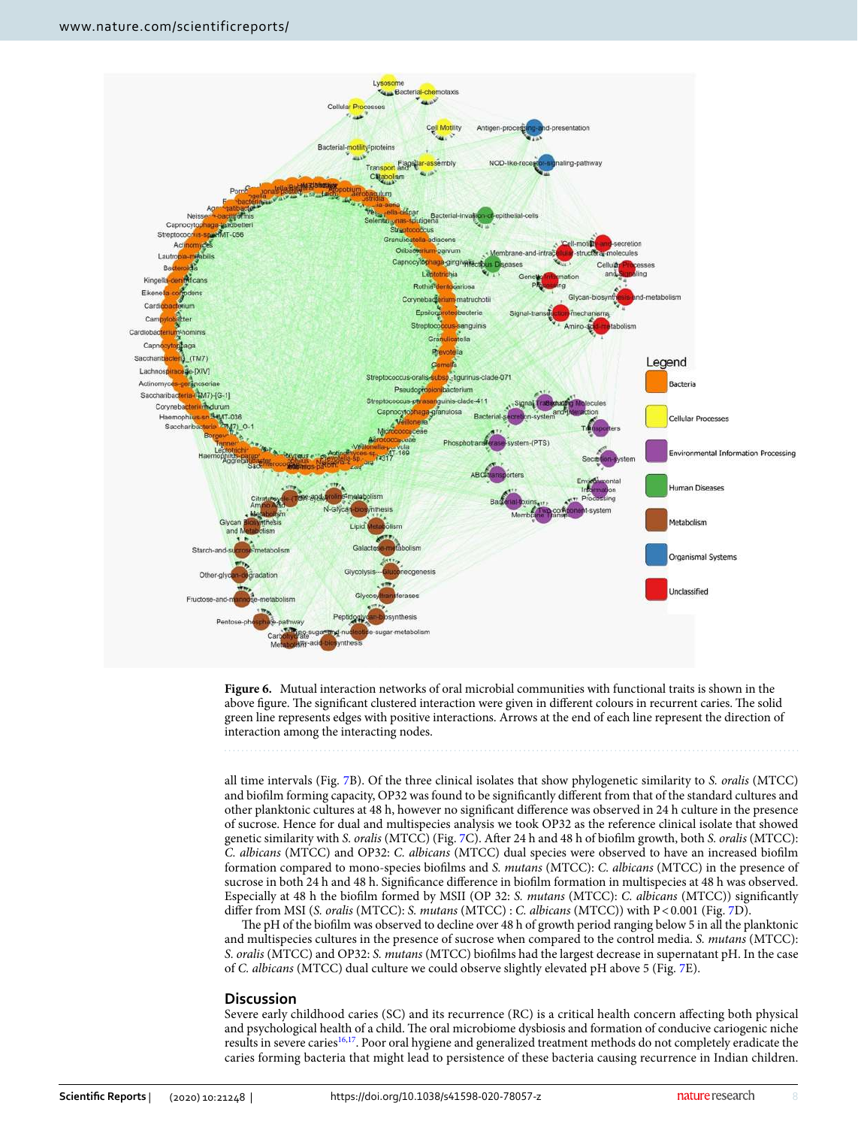

<span id="page-7-0"></span>

all time intervals (Fig. [7B](#page-8-0)). Of the three clinical isolates that show phylogenetic similarity to S. oralis (MTCC) and biofilm forming capacity, OP32 was found to be significantly different from that of the standard cultures and other planktonic cultures at 48 h, however no significant difference was observed in 24 h culture in the presence of sucrose. Hence for dual and multispecies analysis we took OP32 as the reference clinical isolate that showed genetic similarity with S. oralis (MTCC) (Fig. [7](#page-8-0)C). After 24 h and 48 h of biofilm growth, both S. oralis (MTCC): C. albicans (MTCC) and OP32: C. albicans (MTCC) dual species were observed to have an increased biofilm formation compared to mono-species biofilms and S. mutans (MTCC): C. albicans (MTCC) in the presence of sucrose in both 24 h and 48 h. Significance difference in biofilm formation in multispecies at 48 h was observed. Especially at 48 h the biofilm formed by MSII (OP 32: S. mutans (MTCC): C. albicans (MTCC)) significantly differ from MSI (S. oralis (MTCC): S. mutans (MTCC) : C. albicans (MTCC)) with P < 0.001 (Fig. [7D](#page-8-0)).

The pH of the biofilm was observed to decline over 48 h of growth period ranging below 5 in all the planktonic and multispecies cultures in the presence of sucrose when compared to the control media. S. mutans (MTCC): S. oralis (MTCC) and OP32: S. mutans (MTCC) biofilms had the largest decrease in supernatant pH. In the case of C. albicans (MTCC) dual culture we could observe slightly elevated pH above 5 (Fig. [7E](#page-8-0)).

#### **Discussion**

Severe early childhood caries (SC) and its recurrence (RC) is a critical health concern affecting both physical and psychological health of a child. The oral microbiome dysbiosis and formation of conducive cariogenic niche results in severe caries<sup>[16](#page-12-15)[,17](#page-12-16)</sup>. Poor oral hygiene and generalized treatment methods do not completely eradicate the caries forming bacteria that might lead to persistence of these bacteria causing recurrence in Indian children.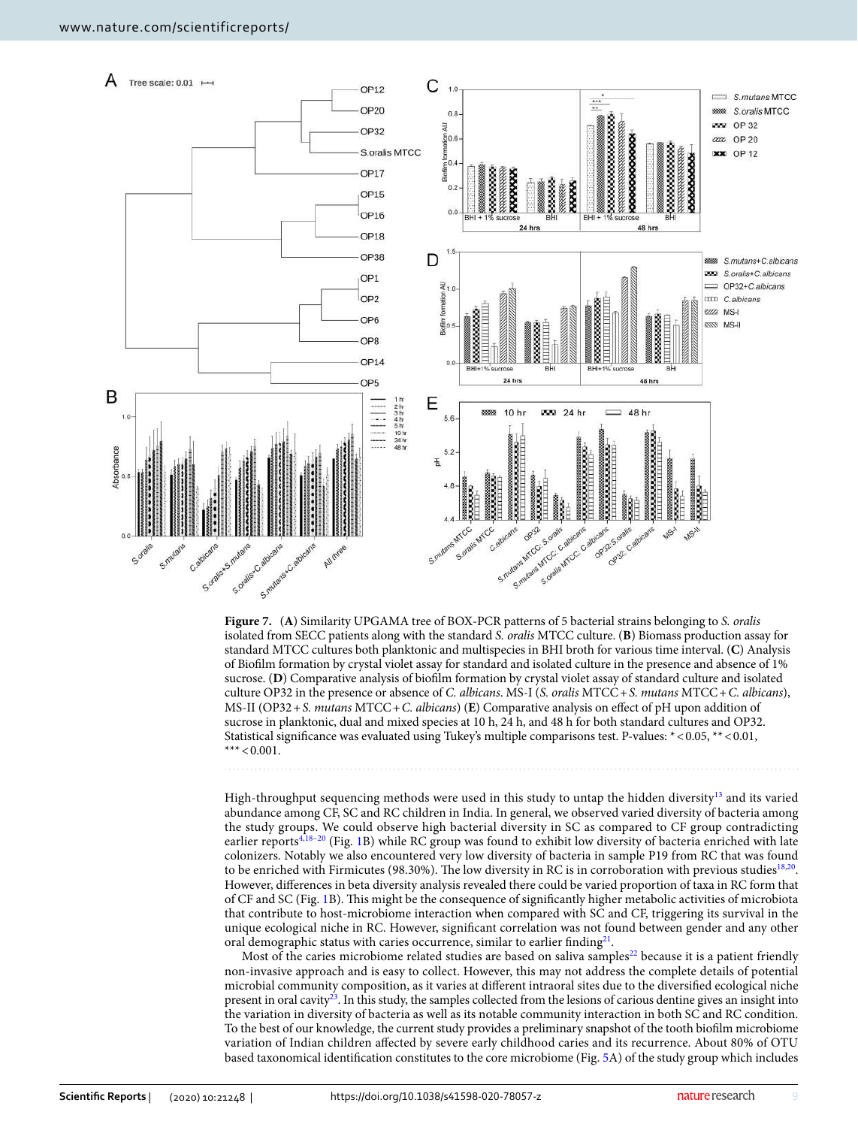

<span id="page-8-0"></span>**Figure 7.** (**A**) Similarity UPGAMA tree of BOX-PCR patterns of 5 bacterial strains belonging to S. oralis isolated from SECC patients along with the standard S. oralis MTCC culture. (**B**) Biomass production assay for standard MTCC cultures both planktonic and multispecies in BHI broth for various time interval. (**C**) Analysis of Biofilm formation by crystal violet assay for standard and isolated culture in the presence and absence of 1% sucrose. (**D**) Comparative analysis of biofilm formation by crystal violet assay of standard culture and isolated culture OP32 in the presence or absence of C. albicans. MS-I (S. oralis MTCC + S. mutans MTCC + C. albicans), MS-II (OP32 + S. mutans MTCC + C. albicans) (**E**) Comparative analysis on effect of pH upon addition of sucrose in planktonic, dual and mixed species at 10 h, 24 h, and 48 h for both standard cultures and OP32. Statistical significance was evaluated using Tukey's multiple comparisons test. P-values: \* < 0.05, \*\* < 0.01, \*\*\*  $< 0.001$ .

High-throughput sequencing methods were used in this study to untap the hidden diversity[13](#page-12-12) and its varied abundance among CF, SC and RC children in India. In general, we observed varied diversity of bacteria among the study groups. We could observe high bacterial diversity in SC as compared to CF group contradicting earlier reports<sup>[4](#page-12-3),[18](#page-13-0)-20</sup> (Fig. [1B](#page-2-0)) while RC group was found to exhibit low diversity of bacteria enriched with late colonizers. Notably we also encountered very low diversity of bacteria in sample P19 from RC that was found to be enriched with Firmicutes (98.30%). The low diversity in RC is in corroboration with previous studies<sup>[18](#page-13-0)[,20](#page-13-1)</sup>. However, differences in beta diversity analysis revealed there could be varied proportion of taxa in RC form that of CF and SC (Fig. [1](#page-2-0)B). This might be the consequence of significantly higher metabolic activities of microbiota that contribute to host-microbiome interaction when compared with SC and CF, triggering its survival in the unique ecological niche in RC. However, significant correlation was not found between gender and any other oral demographic status with caries occurrence, similar to earlier finding<sup>[21](#page-13-2)</sup>.

Most of the caries microbiome related studies are based on saliva samples<sup>[22](#page-13-3)</sup> because it is a patient friendly non-invasive approach and is easy to collect. However, this may not address the complete details of potential microbial community composition, as it varies at different intraoral sites due to the diversified ecological niche present in oral cavity[23](#page-13-4). In this study, the samples collected from the lesions of carious dentine gives an insight into the variation in diversity of bacteria as well as its notable community interaction in both SC and RC condition. To the best of our knowledge, the current study provides a preliminary snapshot of the tooth biofilm microbiome variation of Indian children affected by severe early childhood caries and its recurrence. About 80% of OTU based taxonomical identification constitutes to the core microbiome (Fig. [5A](#page-6-0)) of the study group which includes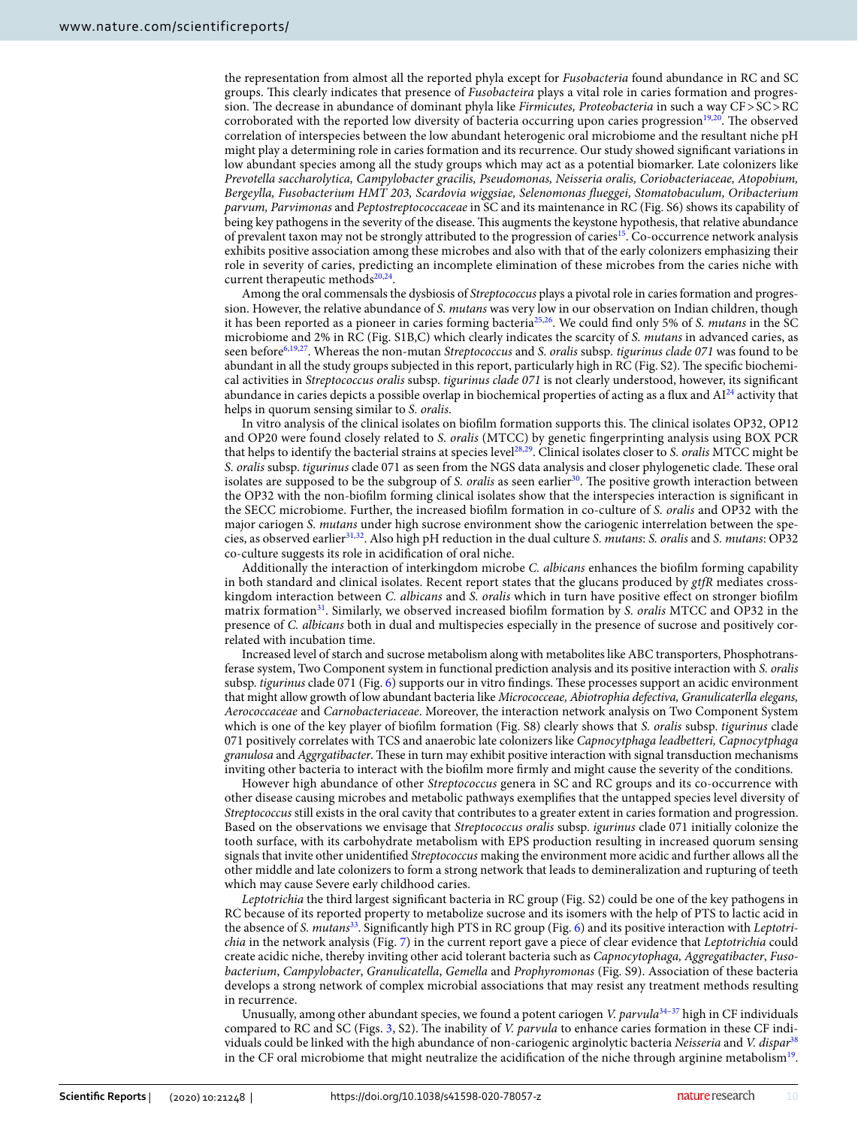the representation from almost all the reported phyla except for Fusobacteria found abundance in RC and SC groups. This clearly indicates that presence of *Fusobacteira* plays a vital role in caries formation and progression. The decrease in abundance of dominant phyla like Firmicutes, Proteobacteria in such a way CF > SC > RC corroborated with the reported low diversity of bacteria occurring upon caries progression<sup>[19,](#page-13-5)[20](#page-13-1)</sup>. The observed correlation of interspecies between the low abundant heterogenic oral microbiome and the resultant niche pH might play a determining role in caries formation and its recurrence. Our study showed significant variations in low abundant species among all the study groups which may act as a potential biomarker. Late colonizers like Prevotella saccharolytica, Campylobacter gracilis, Pseudomonas, Neisseria oralis, Coriobacteriaceae, Atopobium, Bergeylla, Fusobacterium HMT 203, Scardovia wiggsiae, Selenomonas flueggei, Stomatobaculum, Oribacterium parvum, Parvimonas and Peptostreptococcaceae in SC and its maintenance in RC (Fig. S6) shows its capability of being key pathogens in the severity of the disease. This augments the keystone hypothesis, that relative abundance of prevalent taxon may not be strongly attributed to the progression of caries[15](#page-12-14). Co-occurrence network analysis exhibits positive association among these microbes and also with that of the early colonizers emphasizing their role in severity of caries, predicting an incomplete elimination of these microbes from the caries niche with current therapeutic methods<sup>[20](#page-13-1),[24](#page-13-6)</sup>.

Among the oral commensals the dysbiosis of Streptococcus plays a pivotal role in caries formation and progression. However, the relative abundance of S. mutans was very low in our observation on Indian children, though it has been reported as a pioneer in caries forming bacteria<sup>[25,](#page-13-7)[26](#page-13-8)</sup>. We could find only 5% of S. *mutans* in the SC microbiome and 2% in RC (Fig. S1B,C) which clearly indicates the scarcity of S. mutans in advanced caries, as seen before<sup>[6,](#page-12-5)[19,](#page-13-5)[27](#page-13-9)</sup>. Whereas the non-mutan Streptococcus and S. oralis subsp. tigurinus clade 071 was found to be abundant in all the study groups subjected in this report, particularly high in RC (Fig. S2). The specific biochemical activities in Streptococcus oralis subsp. tigurinus clade 071 is not clearly understood, however, its significant abundance in caries depicts a possible overlap in biochemical properties of acting as a flux and  $Al^{24}$  $Al^{24}$  $Al^{24}$  activity that helps in quorum sensing similar to S. oralis.

In vitro analysis of the clinical isolates on biofilm formation supports this. The clinical isolates OP32, OP12 and OP20 were found closely related to S. oralis (MTCC) by genetic fingerprinting analysis using BOX PCR that helps to identify the bacterial strains at species level<sup>[28,](#page-13-10)[29](#page-13-11)</sup>. Clinical isolates closer to S. oralis MTCC might be S. oralis subsp. tigurinus clade 071 as seen from the NGS data analysis and closer phylogenetic clade. These oral isolates are supposed to be the subgroup of S. oralis as seen earlier<sup>[30](#page-13-12)</sup>. The positive growth interaction between the OP32 with the non-biofilm forming clinical isolates show that the interspecies interaction is significant in the SECC microbiome. Further, the increased biofilm formation in co-culture of S. oralis and OP32 with the major cariogen S. mutans under high sucrose environment show the cariogenic interrelation between the spe-cies, as observed earlier<sup>[31,](#page-13-13)[32](#page-13-14)</sup>. Also high pH reduction in the dual culture S. mutans: S. oralis and S. mutans: OP32 co-culture suggests its role in acidification of oral niche.

Additionally the interaction of interkingdom microbe C. albicans enhances the biofilm forming capability in both standard and clinical isolates. Recent report states that the glucans produced by  $g t f R$  mediates crosskingdom interaction between C. albicans and S. oralis which in turn have positive effect on stronger biofilm matrix formation<sup>[31](#page-13-13)</sup>. Similarly, we observed increased biofilm formation by S. *oralis* MTCC and OP32 in the presence of C. albicans both in dual and multispecies especially in the presence of sucrose and positively correlated with incubation time.

Increased level of starch and sucrose metabolism along with metabolites like ABC transporters, Phosphotransferase system, Two Component system in functional prediction analysis and its positive interaction with S. oralis subsp. tigurinus clade 071 (Fig. [6\)](#page-7-0) supports our in vitro findings. These processes support an acidic environment that might allow growth of low abundant bacteria like Micrococceae, Abiotrophia defectiva, Granulicaterlla elegans, Aerococcaceae and Carnobacteriaceae. Moreover, the interaction network analysis on Two Component System which is one of the key player of biofilm formation (Fig. S8) clearly shows that S. oralis subsp. tigurinus clade 071 positively correlates with TCS and anaerobic late colonizers like Capnocytphaga leadbetteri, Capnocytphaga granulosa and Aggrgatibacter. These in turn may exhibit positive interaction with signal transduction mechanisms inviting other bacteria to interact with the biofilm more firmly and might cause the severity of the conditions.

However high abundance of other Streptococcus genera in SC and RC groups and its co-occurrence with other disease causing microbes and metabolic pathways exemplifies that the untapped species level diversity of Streptococcus still exists in the oral cavity that contributes to a greater extent in caries formation and progression. Based on the observations we envisage that Streptococcus oralis subsp. igurinus clade 071 initially colonize the tooth surface, with its carbohydrate metabolism with EPS production resulting in increased quorum sensing signals that invite other unidentified Streptococcus making the environment more acidic and further allows all the other middle and late colonizers to form a strong network that leads to demineralization and rupturing of teeth which may cause Severe early childhood caries.

Leptotrichia the third largest significant bacteria in RC group (Fig. S2) could be one of the key pathogens in RC because of its reported property to metabolize sucrose and its isomers with the help of PTS to lactic acid in the absence of S. mutans<sup>[33](#page-13-15)</sup>. Significantly high PTS in RC group (Fig. [6\)](#page-7-0) and its positive interaction with Leptotrichia in the network analysis (Fig. [7](#page-8-0)) in the current report gave a piece of clear evidence that Leptotrichia could create acidic niche, thereby inviting other acid tolerant bacteria such as Capnocytophaga, Aggregatibacter, Fusobacterium, Campylobacter, Granulicatella, Gemella and Prophyromonas (Fig. S9). Association of these bacteria develops a strong network of complex microbial associations that may resist any treatment methods resulting in recurrence.

Unusually, among other abundant species, we found a potent cariogen *V. parvula*<sup>[34](#page-13-16)[–37](#page-13-17)</sup> high in CF individuals compared to RC and SC (Figs. [3](#page-4-0), S2). The inability of V. parvula to enhance caries formation in these CF indi-viduals could be linked with the high abundance of non-cariogenic arginolytic bacteria Neisseria and V. dispar<sup>[38](#page-13-18)</sup> in the CF oral microbiome that might neutralize the acidification of the niche through arginine metabolism<sup>[19](#page-13-5)</sup>.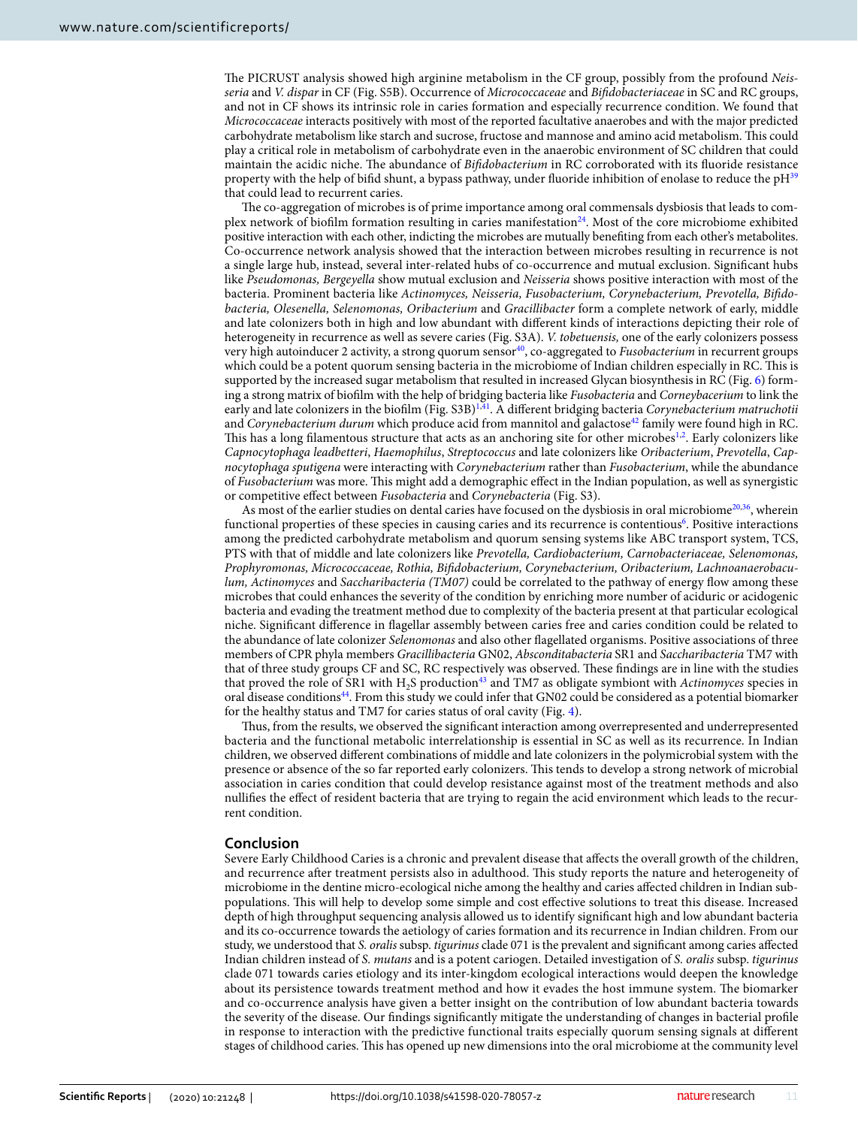The PICRUST analysis showed high arginine metabolism in the CF group, possibly from the profound Neisseria and V. dispar in CF (Fig. S5B). Occurrence of Micrococcaceae and Bifidobacteriaceae in SC and RC groups, and not in CF shows its intrinsic role in caries formation and especially recurrence condition. We found that Micrococcaceae interacts positively with most of the reported facultative anaerobes and with the major predicted carbohydrate metabolism like starch and sucrose, fructose and mannose and amino acid metabolism. This could play a critical role in metabolism of carbohydrate even in the anaerobic environment of SC children that could maintain the acidic niche. The abundance of Bifidobacterium in RC corroborated with its fluoride resistance property with the help of bifid shunt, a bypass pathway, under fluoride inhibition of enolase to reduce the pH<sup>[39](#page-13-19)</sup> that could lead to recurrent caries.

The co-aggregation of microbes is of prime importance among oral commensals dysbiosis that leads to com-plex network of biofilm formation resulting in caries manifestation<sup>[24](#page-13-6)</sup>. Most of the core microbiome exhibited positive interaction with each other, indicting the microbes are mutually benefiting from each other's metabolites. Co-occurrence network analysis showed that the interaction between microbes resulting in recurrence is not a single large hub, instead, several inter-related hubs of co-occurrence and mutual exclusion. Significant hubs like Pseudomonas, Bergeyella show mutual exclusion and Neisseria shows positive interaction with most of the bacteria. Prominent bacteria like Actinomyces, Neisseria, Fusobacterium, Corynebacterium, Prevotella, Bifidobacteria, Olesenella, Selenomonas, Oribacterium and Gracillibacter form a complete network of early, middle and late colonizers both in high and low abundant with different kinds of interactions depicting their role of heterogeneity in recurrence as well as severe caries (Fig. S3A). V. tobetuensis, one of the early colonizers possess very high autoinducer 2 activity, a strong quorum sensor<sup>[40](#page-13-20)</sup>, co-aggregated to Fusobacterium in recurrent groups which could be a potent quorum sensing bacteria in the microbiome of Indian children especially in RC. This is supported by the increased sugar metabolism that resulted in increased Glycan biosynthesis in RC (Fig. [6](#page-7-0)) forming a strong matrix of biofilm with the help of bridging bacteria like Fusobacteria and Corneybacerium to link the early and late colonizers in the biofilm (Fig.  $S3B$ )<sup>[1](#page-12-0),[41](#page-13-21)</sup>. A different bridging bacteria Corynebacterium matruchotii and Corynebacterium durum which produce acid from mannitol and galactose<sup>[42](#page-13-22)</sup> family were found high in RC. This has a long filamentous structure that acts as an anchoring site for other microbes<sup>[1,](#page-12-0)[2](#page-12-1)</sup>. Early colonizers like Capnocytophaga leadbetteri, Haemophilus, Streptococcus and late colonizers like Oribacterium, Prevotella, Capnocytophaga sputigena were interacting with Corynebacterium rather than Fusobacterium, while the abundance of Fusobacterium was more. This might add a demographic effect in the Indian population, as well as synergistic or competitive effect between Fusobacteria and Corynebacteria (Fig. S3).

As most of the earlier studies on dental caries have focused on the dysbiosis in oral microbiome<sup>[20](#page-13-1)[,36](#page-13-23)</sup>, wherein functional properties of these species in causing caries and its recurrence is contentious<sup>[6](#page-12-5)</sup>. Positive interactions among the predicted carbohydrate metabolism and quorum sensing systems like ABC transport system, TCS, PTS with that of middle and late colonizers like Prevotella, Cardiobacterium, Carnobacteriaceae, Selenomonas, Prophyromonas, Micrococcaceae, Rothia, Bifidobacterium, Corynebacterium, Oribacterium, Lachnoanaerobaculum, Actinomyces and Saccharibacteria (TM07) could be correlated to the pathway of energy flow among these microbes that could enhances the severity of the condition by enriching more number of aciduric or acidogenic bacteria and evading the treatment method due to complexity of the bacteria present at that particular ecological niche. Significant difference in flagellar assembly between caries free and caries condition could be related to the abundance of late colonizer Selenomonas and also other flagellated organisms. Positive associations of three members of CPR phyla members Gracillibacteria GN02, Absconditabacteria SR1 and Saccharibacteria TM7 with that of three study groups CF and SC, RC respectively was observed. These findings are in line with the studies that proved the role of SR1 with  $H_2S$  production<sup>[43](#page-13-24)</sup> and TM7 as obligate symbiont with Actinomyces species in oral disease conditions[44](#page-13-25). From this study we could infer that GN02 could be considered as a potential biomarker for the healthy status and TM7 for caries status of oral cavity (Fig. [4\)](#page-5-0).

Thus, from the results, we observed the significant interaction among overrepresented and underrepresented bacteria and the functional metabolic interrelationship is essential in SC as well as its recurrence. In Indian children, we observed different combinations of middle and late colonizers in the polymicrobial system with the presence or absence of the so far reported early colonizers. This tends to develop a strong network of microbial association in caries condition that could develop resistance against most of the treatment methods and also nullifies the effect of resident bacteria that are trying to regain the acid environment which leads to the recurrent condition.

#### **Conclusion**

Severe Early Childhood Caries is a chronic and prevalent disease that affects the overall growth of the children, and recurrence after treatment persists also in adulthood. This study reports the nature and heterogeneity of microbiome in the dentine micro-ecological niche among the healthy and caries affected children in Indian subpopulations. This will help to develop some simple and cost effective solutions to treat this disease. Increased depth of high throughput sequencing analysis allowed us to identify significant high and low abundant bacteria and its co-occurrence towards the aetiology of caries formation and its recurrence in Indian children. From our study, we understood that S. oralis subsp. tigurinus clade 071 is the prevalent and significant among caries affected Indian children instead of S. mutans and is a potent cariogen. Detailed investigation of S. oralis subsp. tigurinus clade 071 towards caries etiology and its inter-kingdom ecological interactions would deepen the knowledge about its persistence towards treatment method and how it evades the host immune system. The biomarker and co-occurrence analysis have given a better insight on the contribution of low abundant bacteria towards the severity of the disease. Our findings significantly mitigate the understanding of changes in bacterial profile in response to interaction with the predictive functional traits especially quorum sensing signals at different stages of childhood caries. This has opened up new dimensions into the oral microbiome at the community level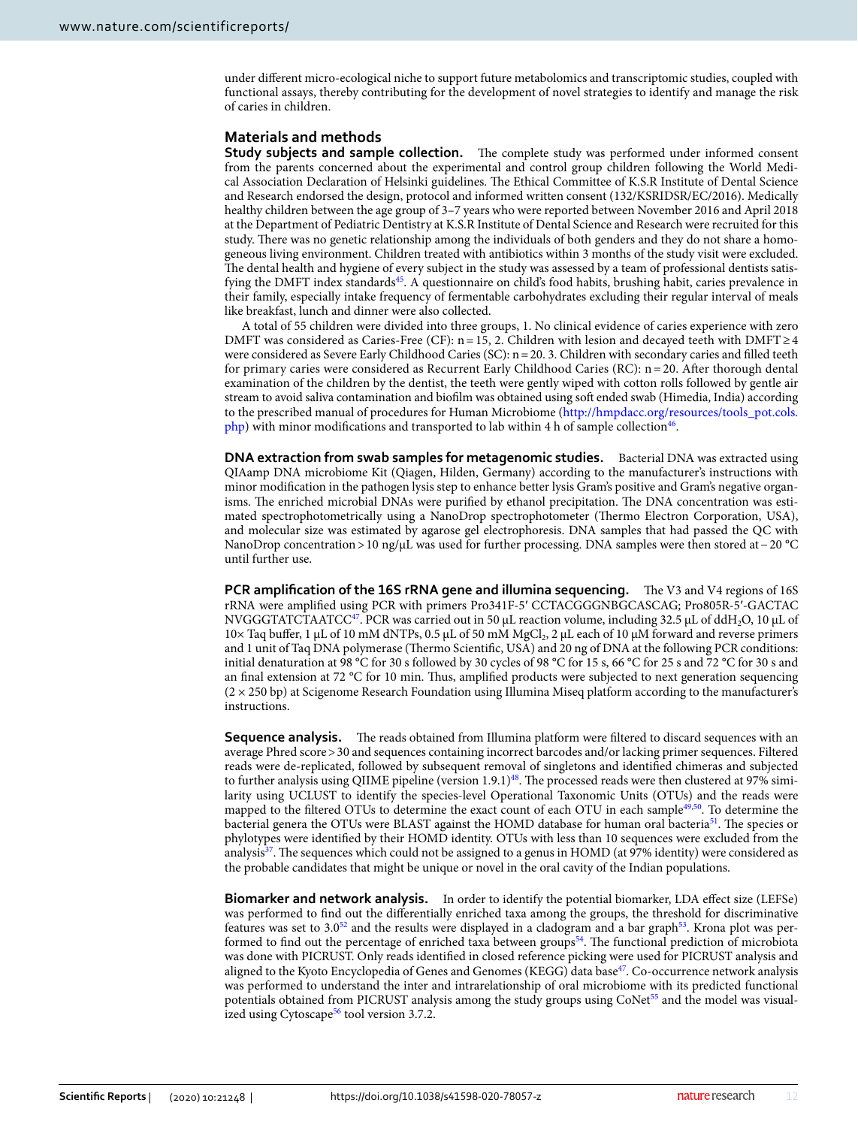under different micro-ecological niche to support future metabolomics and transcriptomic studies, coupled with functional assays, thereby contributing for the development of novel strategies to identify and manage the risk of caries in children.

#### **Materials and methods**

**Study subjects and sample collection.** The complete study was performed under informed consent from the parents concerned about the experimental and control group children following the World Medical Association Declaration of Helsinki guidelines. The Ethical Committee of K.S.R Institute of Dental Science and Research endorsed the design, protocol and informed written consent (132/KSRIDSR/EC/2016). Medically healthy children between the age group of 3–7 years who were reported between November 2016 and April 2018 at the Department of Pediatric Dentistry at K.S.R Institute of Dental Science and Research were recruited for this study. There was no genetic relationship among the individuals of both genders and they do not share a homogeneous living environment. Children treated with antibiotics within 3 months of the study visit were excluded. The dental health and hygiene of every subject in the study was assessed by a team of professional dentists satis-fying the DMFT index standards<sup>[45](#page-13-26)</sup>. A questionnaire on child's food habits, brushing habit, caries prevalence in their family, especially intake frequency of fermentable carbohydrates excluding their regular interval of meals like breakfast, lunch and dinner were also collected.

A total of 55 children were divided into three groups, 1. No clinical evidence of caries experience with zero DMFT was considered as Caries-Free (CF):  $n = 15$ , 2. Children with lesion and decayed teeth with DMFT ≥ 4 were considered as Severe Early Childhood Caries (SC): n = 20. 3. Children with secondary caries and filled teeth for primary caries were considered as Recurrent Early Childhood Caries (RC): n = 20. After thorough dental examination of the children by the dentist, the teeth were gently wiped with cotton rolls followed by gentle air stream to avoid saliva contamination and biofilm was obtained using soft ended swab (Himedia, India) according to the prescribed manual of procedures for Human Microbiome (http://hmpdacc.org/resources/tools\_pot.cols.  $\frac{\text{php}}{\text{php}}$  $\frac{\text{php}}{\text{php}}$  $\frac{\text{php}}{\text{php}}$  with minor modifications and transported to lab within 4 h of sample collection<sup>[46](#page-13-27)</sup>.

**DNA extraction from swab samples for metagenomic studies.** Bacterial DNA was extracted using QIAamp DNA microbiome Kit (Qiagen, Hilden, Germany) according to the manufacturer's instructions with minor modification in the pathogen lysis step to enhance better lysis Gram's positive and Gram's negative organisms. The enriched microbial DNAs were purified by ethanol precipitation. The DNA concentration was estimated spectrophotometrically using a NanoDrop spectrophotometer (Thermo Electron Corporation, USA), and molecular size was estimated by agarose gel electrophoresis. DNA samples that had passed the QC with NanoDrop concentration > 10 ng/µL was used for further processing. DNA samples were then stored at − 20 °C until further use.

**PCR amplification of the 16S rRNA gene and illumina sequencing.** The V3 and V4 regions of 16S rRNA were amplified using PCR with primers Pro341F-5′ CCT ACG GGNBGCASCAG; Pro805R-5′-GAC TAC NVGGGTATCTAATCC<sup>[47](#page-13-28)</sup>. PCR was carried out in 50 μL reaction volume, including 32.5 μL of ddH<sub>2</sub>O, 10 μL of  $10\times$  Taq buffer, 1 μL of 10 mM dNTPs, 0.5 μL of 50 mM MgCl<sub>2</sub>, 2 μL each of 10 μM forward and reverse primers and 1 unit of Taq DNA polymerase (Thermo Scientific, USA) and 20 ng of DNA at the following PCR conditions: initial denaturation at 98 °C for 30 s followed by 30 cycles of 98 °C for 15 s, 66 °C for 25 s and 72 °C for 30 s and an final extension at 72 °C for 10 min. Thus, amplified products were subjected to next generation sequencing  $(2 \times 250$  bp) at Scigenome Research Foundation using Illumina Miseq platform according to the manufacturer's instructions.

**Sequence analysis.** The reads obtained from Illumina platform were filtered to discard sequences with an average Phred score > 30 and sequences containing incorrect barcodes and/or lacking primer sequences. Filtered reads were de-replicated, followed by subsequent removal of singletons and identified chimeras and subjected to further analysis using QIIME pipeline (version  $1.9.1$ )<sup>[48](#page-13-29)</sup>. The processed reads were then clustered at 97% similarity using UCLUST to identify the species-level Operational Taxonomic Units (OTUs) and the reads were mapped to the filtered OTUs to determine the exact count of each OTU in each sample<sup>[49](#page-13-30)[,50](#page-13-31)</sup>. To determine the bacterial genera the OTUs were BLAST against the HOMD database for human oral bacteria<sup>[51](#page-13-32)</sup>. The species or phylotypes were identified by their HOMD identity. OTUs with less than 10 sequences were excluded from the analysis<sup>[37](#page-13-17)</sup>. The sequences which could not be assigned to a genus in HOMD (at 97% identity) were considered as the probable candidates that might be unique or novel in the oral cavity of the Indian populations.

**Biomarker and network analysis.** In order to identify the potential biomarker, LDA effect size (LEFSe) was performed to find out the differentially enriched taxa among the groups, the threshold for discriminative features was set to  $3.0<sup>52</sup>$  $3.0<sup>52</sup>$  $3.0<sup>52</sup>$  and the results were displayed in a cladogram and a bar graph<sup>[53](#page-13-34)</sup>. Krona plot was per-formed to find out the percentage of enriched taxa between groups<sup>[54](#page-13-35)</sup>. The functional prediction of microbiota was done with PICRUST. Only reads identified in closed reference picking were used for PICRUST analysis and aligned to the Kyoto Encyclopedia of Genes and Genomes (KEGG) data base<sup>[47](#page-13-28)</sup>. Co-occurrence network analysis was performed to understand the inter and intrarelationship of oral microbiome with its predicted functional potentials obtained from PICRUST analysis among the study groups using CoNet<sup>[55](#page-13-36)</sup> and the model was visual-ized using Cytoscape<sup>[56](#page-13-37)</sup> tool version 3.7.2.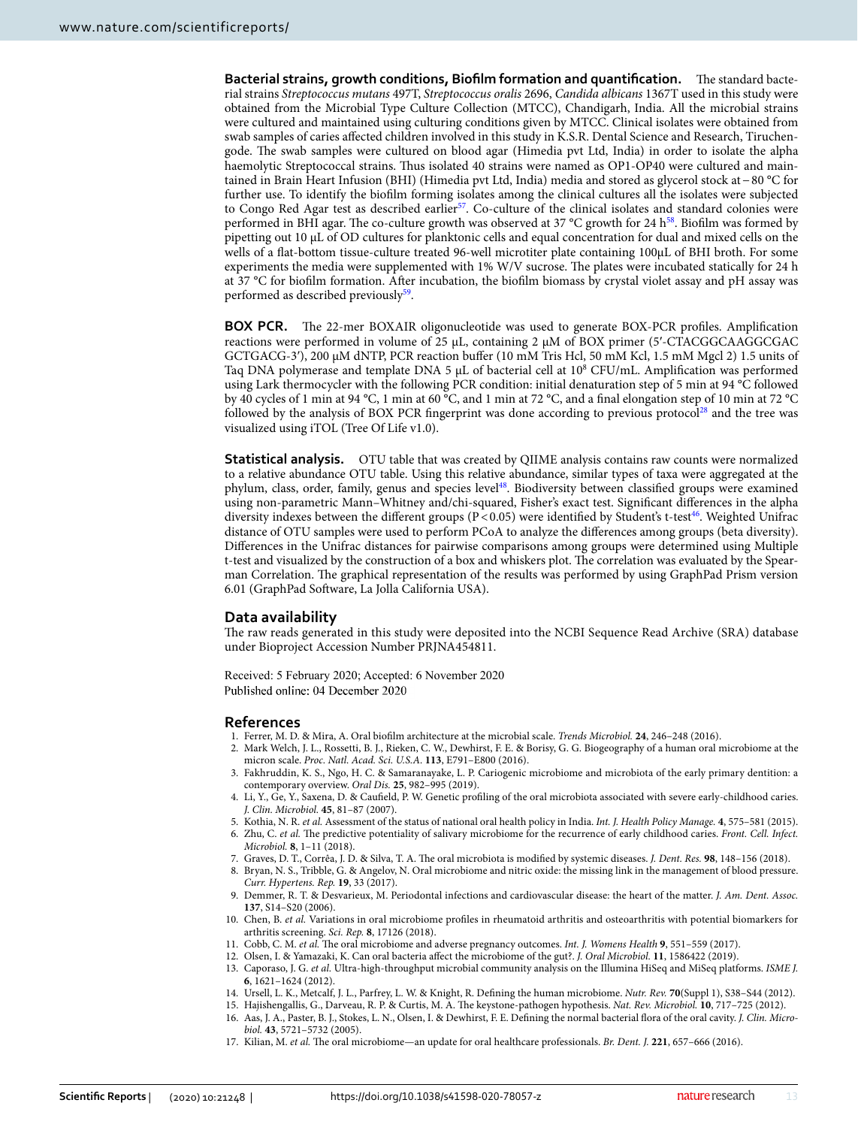**Bacterial strains, growth conditions, Biofilm formation and quantification.** The standard bacterial strains Streptococcus mutans 497T, Streptococcus oralis 2696, Candida albicans 1367T used in this study were obtained from the Microbial Type Culture Collection (MTCC), Chandigarh, India. All the microbial strains were cultured and maintained using culturing conditions given by MTCC. Clinical isolates were obtained from swab samples of caries affected children involved in this study in K.S.R. Dental Science and Research, Tiruchengode. The swab samples were cultured on blood agar (Himedia pvt Ltd, India) in order to isolate the alpha haemolytic Streptococcal strains. Thus isolated 40 strains were named as OP1-OP40 were cultured and maintained in Brain Heart Infusion (BHI) (Himedia pvt Ltd, India) media and stored as glycerol stock at − 80 °C for further use. To identify the biofilm forming isolates among the clinical cultures all the isolates were subjected to Congo Red Agar test as described earlier<sup>[57](#page-13-38)</sup>. Co-culture of the clinical isolates and standard colonies were performed in BHI agar. The co-culture growth was observed at 37 °C growth for 24 h<sup>[58](#page-13-39)</sup>. Biofilm was formed by pipetting out 10 µL of OD cultures for planktonic cells and equal concentration for dual and mixed cells on the wells of a flat-bottom tissue-culture treated 96-well microtiter plate containing 100μL of BHI broth. For some experiments the media were supplemented with 1% W/V sucrose. The plates were incubated statically for 24 h at 37 °C for biofilm formation. After incubation, the biofilm biomass by crystal violet assay and pH assay was performed as described previously<sup>[59](#page-13-40)</sup>.

**BOX PCR.** The 22-mer BOXAIR oligonucleotide was used to generate BOX-PCR profiles. Amplification reactions were performed in volume of 25 μL, containing 2 μM of BOX primer (5'-CTACGGCAAGGCGAC GCTGACG-3'), 200 μM dNTP, PCR reaction buffer (10 mM Tris Hcl, 50 mM Kcl, 1.5 mM Mgcl 2) 1.5 units of Taq DNA polymerase and template DNA 5 µL of bacterial cell at 10<sup>8</sup> CFU/mL. Amplification was performed using Lark thermocycler with the following PCR condition: initial denaturation step of 5 min at 94 °C followed by 40 cycles of 1 min at 94 °C, 1 min at 60 °C, and 1 min at 72 °C, and a final elongation step of 10 min at 72 °C followed by the analysis of BOX PCR fingerprint was done according to previous protocol<sup>[28](#page-13-10)</sup> and the tree was visualized using iTOL (Tree Of Life v1.0).

**Statistical analysis.** OTU table that was created by QIIME analysis contains raw counts were normalized to a relative abundance OTU table. Using this relative abundance, similar types of taxa were aggregated at the phylum, class, order, family, genus and species level[48](#page-13-29). Biodiversity between classified groups were examined using non-parametric Mann–Whitney and/chi-squared, Fisher's exact test. Significant differences in the alpha diversity indexes between the different groups ( $P < 0.05$ ) were identified by Student's t-test<sup>[46](#page-13-27)</sup>. Weighted Unifrac distance of OTU samples were used to perform PCoA to analyze the differences among groups (beta diversity). Differences in the Unifrac distances for pairwise comparisons among groups were determined using Multiple t-test and visualized by the construction of a box and whiskers plot. The correlation was evaluated by the Spearman Correlation. The graphical representation of the results was performed by using GraphPad Prism version 6.01 (GraphPad Software, La Jolla California USA).

#### **Data availability**

The raw reads generated in this study were deposited into the NCBI Sequence Read Archive (SRA) database under Bioproject Accession Number PRJNA454811.

Received: 5 February 2020; Accepted: 6 November 2020 Published online: 04 December 2020

#### **References**

- <span id="page-12-0"></span>1. Ferrer, M. D. & Mira, A. Oral biofilm architecture at the microbial scale. Trends Microbiol. **24**, 246–248 (2016).
- <span id="page-12-1"></span> 2. Mark Welch, J. L., Rossetti, B. J., Rieken, C. W., Dewhirst, F. E. & Borisy, G. G. Biogeography of a human oral microbiome at the micron scale. Proc. Natl. Acad. Sci. U.S.A. **113**, E791–E800 (2016).
- <span id="page-12-2"></span> 3. Fakhruddin, K. S., Ngo, H. C. & Samaranayake, L. P. Cariogenic microbiome and microbiota of the early primary dentition: a contemporary overview. Oral Dis. **25**, 982–995 (2019).
- <span id="page-12-3"></span> 4. Li, Y., Ge, Y., Saxena, D. & Caufield, P. W. Genetic profiling of the oral microbiota associated with severe early-childhood caries. J. Clin. Microbiol. **45**, 81–87 (2007).
- <span id="page-12-4"></span>5. Kothia, N. R. et al. Assessment of the status of national oral health policy in India. Int. J. Health Policy Manage. **4**, 575–581 (2015).
- <span id="page-12-5"></span>6. Zhu, C. et al. The predictive potentiality of salivary microbiome for the recurrence of early childhood caries. Front. Cell. Infect. Microbiol. **8**, 1–11 (2018).
- <span id="page-12-6"></span>7. Graves, D. T., Corrêa, J. D. & Silva, T. A. The oral microbiota is modified by systemic diseases. J. Dent. Res. **98**, 148–156 (2018).
- <span id="page-12-7"></span> 8. Bryan, N. S., Tribble, G. & Angelov, N. Oral microbiome and nitric oxide: the missing link in the management of blood pressure. Curr. Hypertens. Rep. **19**, 33 (2017).
- <span id="page-12-8"></span>9. Demmer, R. T. & Desvarieux, M. Periodontal infections and cardiovascular disease: the heart of the matter. J. Am. Dent. Assoc. **137**, S14–S20 (2006).
- <span id="page-12-9"></span> 10. Chen, B. et al. Variations in oral microbiome profiles in rheumatoid arthritis and osteoarthritis with potential biomarkers for arthritis screening. Sci. Rep. **8**, 17126 (2018).
- <span id="page-12-10"></span>11. Cobb, C. M. et al. The oral microbiome and adverse pregnancy outcomes. Int. J. Womens Health **9**, 551–559 (2017).
- <span id="page-12-13"></span><span id="page-12-12"></span><span id="page-12-11"></span> 12. Olsen, I. & Yamazaki, K. Can oral bacteria affect the microbiome of the gut?. J. Oral Microbiol. **11**, 1586422 (2019).
	- 13. Caporaso, J. G. et al. Ultra-high-throughput microbial community analysis on the Illumina HiSeq and MiSeq platforms. ISME J. **6**, 1621–1624 (2012).
	- 14. Ursell, L. K., Metcalf, J. L., Parfrey, L. W. & Knight, R. Defining the human microbiome. Nutr. Rev. **70**(Suppl 1), S38–S44 (2012).
	- 15. Hajishengallis, G., Darveau, R. P. & Curtis, M. A. The keystone-pathogen hypothesis. Nat. Rev. Microbiol. **10**, 717–725 (2012). 16. Aas, J. A., Paster, B. J., Stokes, L. N., Olsen, I. & Dewhirst, F. E. Defining the normal bacterial flora of the oral cavity. J. Clin. Micro-
- <span id="page-12-15"></span><span id="page-12-14"></span>biol. **43**, 5721–5732 (2005).
- <span id="page-12-16"></span>17. Kilian, M. et al. The oral microbiome—an update for oral healthcare professionals. Br. Dent. J. **221**, 657–666 (2016).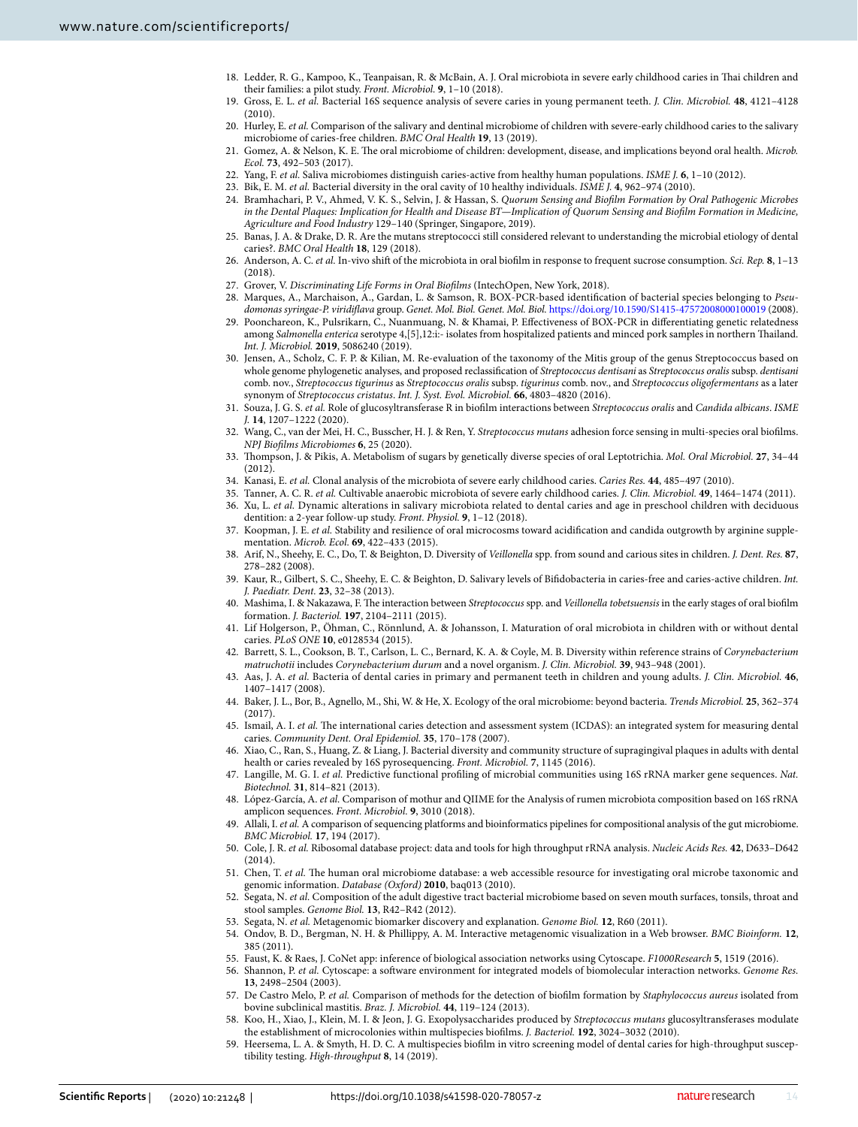- <span id="page-13-0"></span> 18. Ledder, R. G., Kampoo, K., Teanpaisan, R. & McBain, A. J. Oral microbiota in severe early childhood caries in Thai children and their families: a pilot study. Front. Microbiol. **9**, 1–10 (2018).
- <span id="page-13-5"></span> 19. Gross, E. L. et al. Bacterial 16S sequence analysis of severe caries in young permanent teeth. J. Clin. Microbiol. **48**, 4121–4128  $(2010)$
- <span id="page-13-1"></span>20. Hurley, E. et al. Comparison of the salivary and dentinal microbiome of children with severe-early childhood caries to the salivary microbiome of caries-free children. BMC Oral Health **19**, 13 (2019).
- <span id="page-13-2"></span> 21. Gomez, A. & Nelson, K. E. The oral microbiome of children: development, disease, and implications beyond oral health. Microb. Ecol. **73**, 492–503 (2017).
- <span id="page-13-3"></span>22. Yang, F. et al. Saliva microbiomes distinguish caries-active from healthy human populations. ISME J. **6**, 1–10 (2012).
- <span id="page-13-4"></span>23. Bik, E. M. et al. Bacterial diversity in the oral cavity of 10 healthy individuals. ISME J. **4**, 962–974 (2010).
- <span id="page-13-6"></span> 24. Bramhachari, P. V., Ahmed, V. K. S., Selvin, J. & Hassan, S. Quorum Sensing and Biofilm Formation by Oral Pathogenic Microbes in the Dental Plaques: Implication for Health and Disease BT—Implication of Quorum Sensing and Biofilm Formation in Medicine, Agriculture and Food Industry 129–140 (Springer, Singapore, 2019).
- <span id="page-13-7"></span> 25. Banas, J. A. & Drake, D. R. Are the mutans streptococci still considered relevant to understanding the microbial etiology of dental caries?. BMC Oral Health **18**, 129 (2018).
- <span id="page-13-8"></span> 26. Anderson, A. C. et al. In-vivo shift of the microbiota in oral biofilm in response to frequent sucrose consumption. Sci. Rep. **8**, 1–13 (2018).
- <span id="page-13-9"></span>27. Grover, V. Discriminating Life Forms in Oral Biofilms (IntechOpen, New York, 2018).
- <span id="page-13-10"></span> 28. Marques, A., Marchaison, A., Gardan, L. & Samson, R. BOX-PCR-based identification of bacterial species belonging to Pseudomonas syringae-P. viridiflava group. Genet. Mol. Biol. Genet. Mol. Biol. [https ://doi.org/10.1590/S1415 -47572 00800 01000 19](https://doi.org/10.1590/S1415-47572008000100019) (2008).
- <span id="page-13-11"></span> 29. Poonchareon, K., Pulsrikarn, C., Nuanmuang, N. & Khamai, P. Effectiveness of BOX-PCR in differentiating genetic relatedness among Salmonella enterica serotype 4,[5],12:i:- isolates from hospitalized patients and minced pork samples in northern Thailand. Int. J. Microbiol. **2019**, 5086240 (2019).
- <span id="page-13-12"></span> 30. Jensen, A., Scholz, C. F. P. & Kilian, M. Re-evaluation of the taxonomy of the Mitis group of the genus Streptococcus based on whole genome phylogenetic analyses, and proposed reclassification of Streptococcus dentisani as Streptococcus oralis subsp. dentisani comb. nov., Streptococcus tigurinus as Streptococcus oralis subsp. tigurinus comb. nov., and Streptococcus oligofermentans as a later synonym of Streptococcus cristatus. Int. J. Syst. Evol. Microbiol. **66**, 4803–4820 (2016).
- <span id="page-13-13"></span>31. Souza, J. G. S. et al. Role of glucosyltransferase R in biofilm interactions between Streptococcus oralis and Candida albicans. ISME J. **14**, 1207–1222 (2020).
- <span id="page-13-14"></span>32. Wang, C., van der Mei, H. C., Busscher, H. J. & Ren, Y. Streptococcus mutans adhesion force sensing in multi-species oral biofilms. NPJ Biofilms Microbiomes **6**, 25 (2020).
- <span id="page-13-15"></span> 33. Thompson, J. & Pikis, A. Metabolism of sugars by genetically diverse species of oral Leptotrichia. Mol. Oral Microbiol. **27**, 34–44 (2012).
- <span id="page-13-16"></span>34. Kanasi, E. et al. Clonal analysis of the microbiota of severe early childhood caries. Caries Res. **44**, 485–497 (2010).
- 35. Tanner, A. C. R. et al. Cultivable anaerobic microbiota of severe early childhood caries. J. Clin. Microbiol. **49**, 1464–1474 (2011).
- <span id="page-13-23"></span>36. Xu, L. et al. Dynamic alterations in salivary microbiota related to dental caries and age in preschool children with deciduous dentition: a 2-year follow-up study. Front. Physiol. **9**, 1–12 (2018).
- <span id="page-13-17"></span>37. Koopman, J. E. et al. Stability and resilience of oral microcosms toward acidification and candida outgrowth by arginine supplementation. Microb. Ecol. **69**, 422–433 (2015).
- <span id="page-13-18"></span> 38. Arif, N., Sheehy, E. C., Do, T. & Beighton, D. Diversity of Veillonella spp. from sound and carious sites in children. J. Dent. Res. **87**, 278–282 (2008).
- <span id="page-13-19"></span>39. Kaur, R., Gilbert, S. C., Sheehy, E. C. & Beighton, D. Salivary levels of Bifidobacteria in caries-free and caries-active children. Int. J. Paediatr. Dent. **23**, 32–38 (2013).
- <span id="page-13-20"></span>40. Mashima, I. & Nakazawa, F. The interaction between Streptococcus spp. and Veillonella tobetsuensis in the early stages of oral biofilm formation. J. Bacteriol. **197**, 2104–2111 (2015).
- <span id="page-13-21"></span> 41. Lif Holgerson, P., Öhman, C., Rönnlund, A. & Johansson, I. Maturation of oral microbiota in children with or without dental caries. PLoS ONE **10**, e0128534 (2015).
- <span id="page-13-22"></span> 42. Barrett, S. L., Cookson, B. T., Carlson, L. C., Bernard, K. A. & Coyle, M. B. Diversity within reference strains of Corynebacterium matruchotii includes Corynebacterium durum and a novel organism. J. Clin. Microbiol. **39**, 943–948 (2001).
- <span id="page-13-24"></span> 43. Aas, J. A. et al. Bacteria of dental caries in primary and permanent teeth in children and young adults. J. Clin. Microbiol. **46**, 1407–1417 (2008).
- <span id="page-13-25"></span> 44. Baker, J. L., Bor, B., Agnello, M., Shi, W. & He, X. Ecology of the oral microbiome: beyond bacteria. Trends Microbiol. **25**, 362–374  $(2017)$
- <span id="page-13-26"></span>45. Ismail, A. I. et al. The international caries detection and assessment system (ICDAS): an integrated system for measuring dental caries. Community Dent. Oral Epidemiol. **35**, 170–178 (2007).
- <span id="page-13-27"></span> 46. Xiao, C., Ran, S., Huang, Z. & Liang, J. Bacterial diversity and community structure of supragingival plaques in adults with dental health or caries revealed by 16S pyrosequencing. Front. Microbiol. **7**, 1145 (2016).
- <span id="page-13-28"></span>47. Langille, M. G. I. et al. Predictive functional profiling of microbial communities using 16S rRNA marker gene sequences. Nat. Biotechnol. **31**, 814–821 (2013).
- <span id="page-13-29"></span> 48. López-García, A. et al. Comparison of mothur and QIIME for the Analysis of rumen microbiota composition based on 16S rRNA amplicon sequences. Front. Microbiol. **9**, 3010 (2018).
- <span id="page-13-30"></span>49. Allali, I. et al. A comparison of sequencing platforms and bioinformatics pipelines for compositional analysis of the gut microbiome. BMC Microbiol. **17**, 194 (2017).
- <span id="page-13-31"></span> 50. Cole, J. R. et al. Ribosomal database project: data and tools for high throughput rRNA analysis. Nucleic Acids Res. **42**, D633–D642 (2014).
- <span id="page-13-32"></span>51. Chen, T. et al. The human oral microbiome database: a web accessible resource for investigating oral microbe taxonomic and genomic information. Database (Oxford) **2010**, baq013 (2010).
- <span id="page-13-33"></span>52. Segata, N. et al. Composition of the adult digestive tract bacterial microbiome based on seven mouth surfaces, tonsils, throat and stool samples. Genome Biol. **13**, R42–R42 (2012).
- <span id="page-13-34"></span>53. Segata, N. et al. Metagenomic biomarker discovery and explanation. Genome Biol. **12**, R60 (2011).
- <span id="page-13-35"></span> 54. Ondov, B. D., Bergman, N. H. & Phillippy, A. M. Interactive metagenomic visualization in a Web browser. BMC Bioinform. **12**, 385 (2011).
- <span id="page-13-36"></span>55. Faust, K. & Raes, J. CoNet app: inference of biological association networks using Cytoscape. F1000Research **5**, 1519 (2016).
- <span id="page-13-37"></span>56. Shannon, P. et al. Cytoscape: a software environment for integrated models of biomolecular interaction networks. Genome Res. 13, 2498-2504 (2003)
- <span id="page-13-38"></span>57. De Castro Melo, P. et al. Comparison of methods for the detection of biofilm formation by Staphylococcus aureus isolated from bovine subclinical mastitis. Braz. J. Microbiol. **44**, 119–124 (2013).
- <span id="page-13-39"></span>58. Koo, H., Xiao, J., Klein, M. I. & Jeon, J. G. Exopolysaccharides produced by Streptococcus mutans glucosyltransferases modulate the establishment of microcolonies within multispecies biofilms. J. Bacteriol. **192**, 3024–3032 (2010).
- <span id="page-13-40"></span> 59. Heersema, L. A. & Smyth, H. D. C. A multispecies biofilm in vitro screening model of dental caries for high-throughput susceptibility testing. High-throughput **8**, 14 (2019).